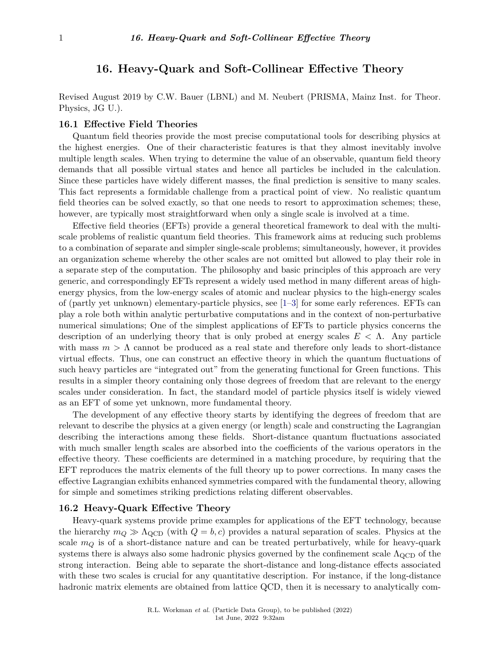# **16. Heavy-Quark and Soft-Collinear Effective Theory**

Revised August 2019 by C.W. Bauer (LBNL) and M. Neubert (PRISMA, Mainz Inst. for Theor. Physics, JG U.).

#### **16.1 Effective Field Theories**

Quantum field theories provide the most precise computational tools for describing physics at the highest energies. One of their characteristic features is that they almost inevitably involve multiple length scales. When trying to determine the value of an observable, quantum field theory demands that all possible virtual states and hence all particles be included in the calculation. Since these particles have widely different masses, the final prediction is sensitive to many scales. This fact represents a formidable challenge from a practical point of view. No realistic quantum field theories can be solved exactly, so that one needs to resort to approximation schemes; these, however, are typically most straightforward when only a single scale is involved at a time.

Effective field theories (EFTs) provide a general theoretical framework to deal with the multiscale problems of realistic quantum field theories. This framework aims at reducing such problems to a combination of separate and simpler single-scale problems; simultaneously, however, it provides an organization scheme whereby the other scales are not omitted but allowed to play their role in a separate step of the computation. The philosophy and basic principles of this approach are very generic, and correspondingly EFTs represent a widely used method in many different areas of highenergy physics, from the low-energy scales of atomic and nuclear physics to the high-energy scales of (partly yet unknown) elementary-particle physics, see [\[1–](#page-12-0)[3\]](#page-12-1) for some early references. EFTs can play a role both within analytic perturbative computations and in the context of non-perturbative numerical simulations; One of the simplest applications of EFTs to particle physics concerns the description of an underlying theory that is only probed at energy scales *E <* Λ. Any particle with mass  $m > \Lambda$  cannot be produced as a real state and therefore only leads to short-distance virtual effects. Thus, one can construct an effective theory in which the quantum fluctuations of such heavy particles are "integrated out" from the generating functional for Green functions. This results in a simpler theory containing only those degrees of freedom that are relevant to the energy scales under consideration. In fact, the standard model of particle physics itself is widely viewed as an EFT of some yet unknown, more fundamental theory.

The development of any effective theory starts by identifying the degrees of freedom that are relevant to describe the physics at a given energy (or length) scale and constructing the Lagrangian describing the interactions among these fields. Short-distance quantum fluctuations associated with much smaller length scales are absorbed into the coefficients of the various operators in the effective theory. These coefficients are determined in a matching procedure, by requiring that the EFT reproduces the matrix elements of the full theory up to power corrections. In many cases the effective Lagrangian exhibits enhanced symmetries compared with the fundamental theory, allowing for simple and sometimes striking predictions relating different observables.

## **16.2 Heavy-Quark Effective Theory**

Heavy-quark systems provide prime examples for applications of the EFT technology, because the hierarchy  $m_Q \gg \Lambda_{\text{QCD}}$  (with  $Q = b, c$ ) provides a natural separation of scales. Physics at the scale *m<sup>Q</sup>* is of a short-distance nature and can be treated perturbatively, while for heavy-quark systems there is always also some hadronic physics governed by the confinement scale  $\Lambda_{\text{QCD}}$  of the strong interaction. Being able to separate the short-distance and long-distance effects associated with these two scales is crucial for any quantitative description. For instance, if the long-distance hadronic matrix elements are obtained from lattice QCD, then it is necessary to analytically com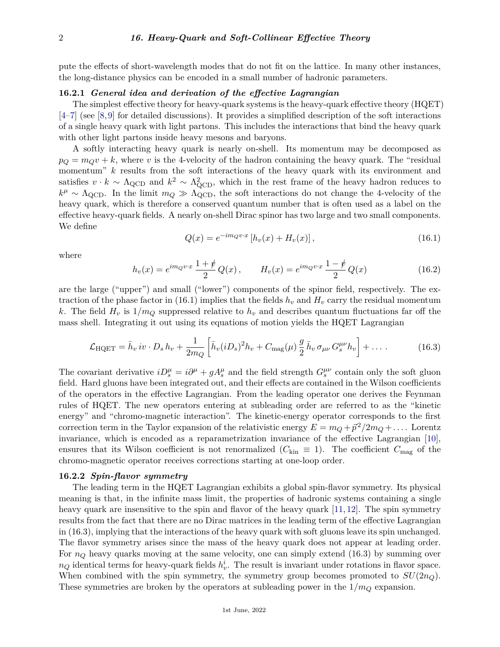pute the effects of short-wavelength modes that do not fit on the lattice. In many other instances, the long-distance physics can be encoded in a small number of hadronic parameters.

## **16.2.1** *General idea and derivation of the effective Lagrangian*

The simplest effective theory for heavy-quark systems is the heavy-quark effective theory (HQET) [\[4](#page-12-2)[–7\]](#page-12-3) (see [\[8,](#page-12-4)[9\]](#page-13-0) for detailed discussions). It provides a simplified description of the soft interactions of a single heavy quark with light partons. This includes the interactions that bind the heavy quark with other light partons inside heavy mesons and baryons.

A softly interacting heavy quark is nearly on-shell. Its momentum may be decomposed as  $p<sub>O</sub> = m<sub>O</sub>v + k$ , where *v* is the 4-velocity of the hadron containing the heavy quark. The "residual" momentum" k results from the soft interactions of the heavy quark with its environment and satisfies  $v \cdot k \sim \Lambda_{\rm QCD}$  and  $k^2 \sim \Lambda_{\rm QCD}^2$ , which in the rest frame of the heavy hadron reduces to  $k^{\mu} \sim \Lambda_{\text{QCD}}$ . In the limit  $m_Q \gg \Lambda_{\text{QCD}}$ , the soft interactions do not change the 4-velocity of the heavy quark, which is therefore a conserved quantum number that is often used as a label on the effective heavy-quark fields. A nearly on-shell Dirac spinor has two large and two small components. We define

$$
Q(x) = e^{-im_Q v \cdot x} \left[ h_v(x) + H_v(x) \right],
$$
\n(16.1)

where

$$
h_v(x) = e^{im_Q v \cdot x} \frac{1+\psi}{2} Q(x) , \qquad H_v(x) = e^{im_Q v \cdot x} \frac{1-\psi}{2} Q(x) \tag{16.2}
$$

are the large ("upper") and small ("lower") components of the spinor field, respectively. The extraction of the phase factor in (16.1) implies that the fields  $h_v$  and  $H_v$  carry the residual momentum *k*. The field  $H_v$  is  $1/m_Q$  suppressed relative to  $h_v$  and describes quantum fluctuations far off the mass shell. Integrating it out using its equations of motion yields the HQET Lagrangian

$$
\mathcal{L}_{\text{HQET}} = \bar{h}_v \, iv \cdot D_s \, h_v + \frac{1}{2m_Q} \left[ \bar{h}_v (iD_s)^2 h_v + C_{\text{mag}}(\mu) \, \frac{g}{2} \, \bar{h}_v \, \sigma_{\mu\nu} \, G_s^{\mu\nu} h_v \right] + \dots \tag{16.3}
$$

The covariant derivative  $iD_s^{\mu} = i\partial^{\mu} + gA_s^{\mu}$  and the field strength  $G_s^{\mu\nu}$  contain only the soft gluon field. Hard gluons have been integrated out, and their effects are contained in the Wilson coefficients of the operators in the effective Lagrangian. From the leading operator one derives the Feynman rules of HQET. The new operators entering at subleading order are referred to as the "kinetic energy" and "chromo-magnetic interaction". The kinetic-energy operator corresponds to the first correction term in the Taylor expansion of the relativistic energy  $E = m_Q + \vec{p}^2/2m_Q + \dots$ . Lorentz invariance, which is encoded as a reparametrization invariance of the effective Lagrangian [\[10\]](#page-13-1), ensures that its Wilson coefficient is not renormalized ( $C_{kin} \equiv 1$ ). The coefficient  $C_{mag}$  of the chromo-magnetic operator receives corrections starting at one-loop order.

#### **16.2.2** *Spin-flavor symmetry*

The leading term in the HQET Lagrangian exhibits a global spin-flavor symmetry. Its physical meaning is that, in the infinite mass limit, the properties of hadronic systems containing a single heavy quark are insensitive to the spin and flavor of the heavy quark [\[11,](#page-13-2) [12\]](#page-13-3). The spin symmetry results from the fact that there are no Dirac matrices in the leading term of the effective Lagrangian in (16.3), implying that the interactions of the heavy quark with soft gluons leave its spin unchanged. The flavor symmetry arises since the mass of the heavy quark does not appear at leading order. For  $n_Q$  heavy quarks moving at the same velocity, one can simply extend  $(16.3)$  by summing over  $n_Q$  identical terms for heavy-quark fields  $h_v^i$ . The result is invariant under rotations in flavor space. When combined with the spin symmetry, the symmetry group becomes promoted to  $SU(2n_Q)$ . These symmetries are broken by the operators at subleading power in the 1*/m<sup>Q</sup>* expansion.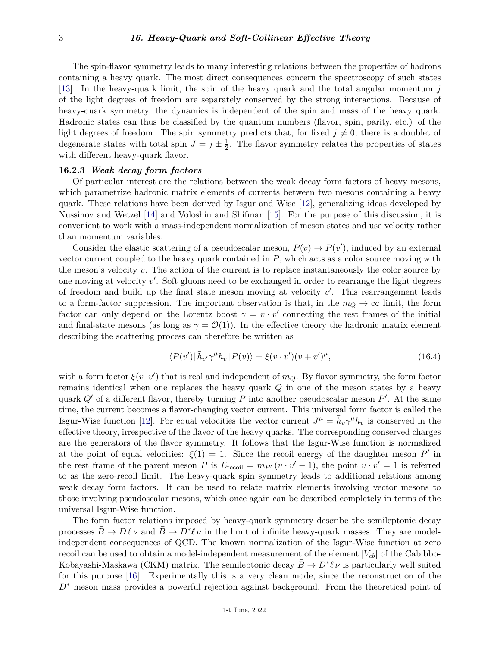The spin-flavor symmetry leads to many interesting relations between the properties of hadrons containing a heavy quark. The most direct consequences concern the spectroscopy of such states [\[13\]](#page-13-4). In the heavy-quark limit, the spin of the heavy quark and the total angular momentum *j* of the light degrees of freedom are separately conserved by the strong interactions. Because of heavy-quark symmetry, the dynamics is independent of the spin and mass of the heavy quark. Hadronic states can thus be classified by the quantum numbers (flavor, spin, parity, etc.) of the light degrees of freedom. The spin symmetry predicts that, for fixed  $j \neq 0$ , there is a doublet of degenerate states with total spin  $J = j \pm \frac{1}{2}$  $\frac{1}{2}$ . The flavor symmetry relates the properties of states with different heavy-quark flavor.

#### **16.2.3** *Weak decay form factors*

Of particular interest are the relations between the weak decay form factors of heavy mesons, which parametrize hadronic matrix elements of currents between two mesons containing a heavy quark. These relations have been derived by Isgur and Wise [\[12\]](#page-13-3), generalizing ideas developed by Nussinov and Wetzel [\[14\]](#page-13-5) and Voloshin and Shifman [\[15\]](#page-13-6). For the purpose of this discussion, it is convenient to work with a mass-independent normalization of meson states and use velocity rather than momentum variables.

Consider the elastic scattering of a pseudoscalar meson,  $P(v) \to P(v')$ , induced by an external vector current coupled to the heavy quark contained in *P*, which acts as a color source moving with the meson's velocity *v*. The action of the current is to replace instantaneously the color source by one moving at velocity v'. Soft gluons need to be exchanged in order to rearrange the light degrees of freedom and build up the final state meson moving at velocity  $v'$ . This rearrangement leads to a form-factor suppression. The important observation is that, in the  $m_Q \to \infty$  limit, the form factor can only depend on the Lorentz boost  $\gamma = v \cdot v'$  connecting the rest frames of the initial and final-state mesons (as long as  $\gamma = \mathcal{O}(1)$ ). In the effective theory the hadronic matrix element describing the scattering process can therefore be written as

$$
\langle P(v')|\bar{h}_{v'}\gamma^{\mu}h_{v}|P(v)\rangle = \xi(v\cdot v')(v+v')^{\mu},\tag{16.4}
$$

with a form factor  $\xi(v \cdot v')$  that is real and independent of  $m_Q$ . By flavor symmetry, the form factor remains identical when one replaces the heavy quark *Q* in one of the meson states by a heavy quark  $Q'$  of a different flavor, thereby turning  $P$  into another pseudoscalar meson  $P'$ . At the same time, the current becomes a flavor-changing vector current. This universal form factor is called the Isgur-Wise function [\[12\]](#page-13-3). For equal velocities the vector current  $J^{\mu} = \bar{h}_{v} \gamma^{\mu} h_{v}$  is conserved in the effective theory, irrespective of the flavor of the heavy quarks. The corresponding conserved charges are the generators of the flavor symmetry. It follows that the Isgur-Wise function is normalized at the point of equal velocities:  $\xi(1) = 1$ . Since the recoil energy of the daughter meson P' in the rest frame of the parent meson *P* is  $E_{\text{recoil}} = m_{P} (v \cdot v' - 1)$ , the point  $v \cdot v' = 1$  is referred to as the zero-recoil limit. The heavy-quark spin symmetry leads to additional relations among weak decay form factors. It can be used to relate matrix elements involving vector mesons to those involving pseudoscalar mesons, which once again can be described completely in terms of the universal Isgur-Wise function.

The form factor relations imposed by heavy-quark symmetry describe the semileptonic decay processes  $\bar{B}\to D\ell\bar{\nu}$  and  $\bar{B}\to D^*\ell\bar{\nu}$  in the limit of infinite heavy-quark masses. They are modelindependent consequences of QCD. The known normalization of the Isgur-Wise function at zero recoil can be used to obtain a model-independent measurement of the element  $|V_{cb}|$  of the Cabibbo-Kobayashi-Maskawa (CKM) matrix. The semileptonic decay  $\bar{B} \to D^* \ell \bar{\nu}$  is particularly well suited for this purpose [\[16\]](#page-13-7). Experimentally this is a very clean mode, since the reconstruction of the *D*<sup>∗</sup> meson mass provides a powerful rejection against background. From the theoretical point of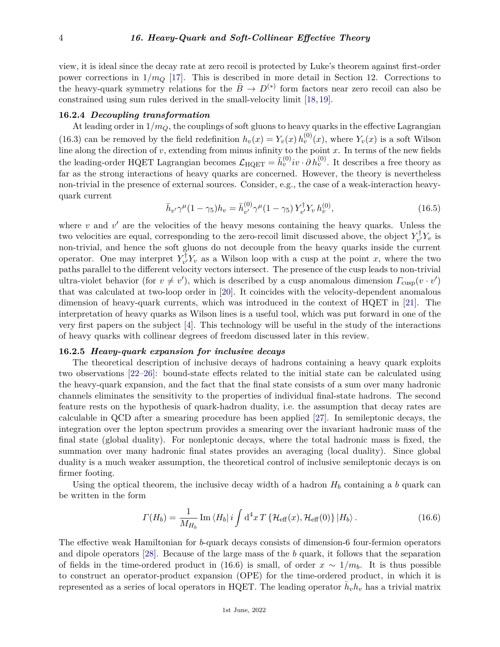view, it is ideal since the decay rate at zero recoil is protected by Luke's theorem against first-order power corrections in  $1/m_Q$  [\[17\]](#page-13-8). This is described in more detail in Section 12. Corrections to the heavy-quark symmetry relations for the  $\bar{B} \to D^{(*)}$  form factors near zero recoil can also be constrained using sum rules derived in the small-velocity limit [\[18,](#page-13-9) [19\]](#page-13-10).

#### **16.2.4** *Decoupling transformation*

At leading order in 1*/mQ*, the couplings of soft gluons to heavy quarks in the effective Lagrangian (16.3) can be removed by the field redefinition  $h_v(x) = Y_v(x) h_v^{(0)}(x)$ , where  $Y_v(x)$  is a soft Wilson line along the direction of  $v$ , extending from minus infinity to the point  $x$ . In terms of the new fields the leading-order HQET Lagrangian becomes  $\mathcal{L}_{HQET} = \bar{h}_v^{(0)} i v \cdot \partial h_v^{(0)}$ . It describes a free theory as far as the strong interactions of heavy quarks are concerned. However, the theory is nevertheless non-trivial in the presence of external sources. Consider, e.g., the case of a weak-interaction heavyquark current

$$
\bar{h}_{v'}\gamma^{\mu}(1-\gamma_5)h_v = \bar{h}_{v'}^{(0)}\gamma^{\mu}(1-\gamma_5)Y_{v'}^{\dagger}Y_v h_v^{(0)},
$$
\n(16.5)

where  $v$  and  $v'$  are the velocities of the heavy mesons containing the heavy quarks. Unless the two velocities are equal, corresponding to the zero-recoil limit discussed above, the object  $Y^{\dagger}_{\nu}$  $v^{\dagger} Y_v$  is non-trivial, and hence the soft gluons do not decouple from the heavy quarks inside the current operator. One may interpret  $Y_{\nu}^{\dagger}$  $v_v^{\dagger}$  *Y*<sub>*v*</sub> as a Wilson loop with a cusp at the point *x*, where the two paths parallel to the different velocity vectors intersect. The presence of the cusp leads to non-trivial ultra-violet behavior (for  $v \neq v'$ ), which is described by a cusp anomalous dimension  $\Gamma_{\text{cusp}}(v \cdot v')$ that was calculated at two-loop order in [\[20\]](#page-13-11). It coincides with the velocity-dependent anomalous dimension of heavy-quark currents, which was introduced in the context of HQET in [\[21\]](#page-13-12). The interpretation of heavy quarks as Wilson lines is a useful tool, which was put forward in one of the very first papers on the subject [\[4\]](#page-12-2). This technology will be useful in the study of the interactions of heavy quarks with collinear degrees of freedom discussed later in this review.

## **16.2.5** *Heavy-quark expansion for inclusive decays*

The theoretical description of inclusive decays of hadrons containing a heavy quark exploits two observations [\[22–](#page-13-13)[26\]](#page-13-14): bound-state effects related to the initial state can be calculated using the heavy-quark expansion, and the fact that the final state consists of a sum over many hadronic channels eliminates the sensitivity to the properties of individual final-state hadrons. The second feature rests on the hypothesis of quark-hadron duality, i.e. the assumption that decay rates are calculable in QCD after a smearing procedure has been applied [\[27\]](#page-13-15). In semileptonic decays, the integration over the lepton spectrum provides a smearing over the invariant hadronic mass of the final state (global duality). For nonleptonic decays, where the total hadronic mass is fixed, the summation over many hadronic final states provides an averaging (local duality). Since global duality is a much weaker assumption, the theoretical control of inclusive semileptonic decays is on firmer footing.

Using the optical theorem, the inclusive decay width of a hadron  $H_b$  containing a *b* quark can be written in the form

$$
\Gamma(H_b) = \frac{1}{M_{H_b}} \operatorname{Im} \langle H_b | i \int d^4 x T \left\{ \mathcal{H}_{\text{eff}}(x), \mathcal{H}_{\text{eff}}(0) \right\} | H_b \rangle. \tag{16.6}
$$

The effective weak Hamiltonian for *b*-quark decays consists of dimension-6 four-fermion operators and dipole operators [\[28\]](#page-13-16). Because of the large mass of the *b* quark, it follows that the separation of fields in the time-ordered product in (16.6) is small, of order  $x \sim 1/m_b$ . It is thus possible to construct an operator-product expansion (OPE) for the time-ordered product, in which it is represented as a series of local operators in HQET. The leading operator  $\bar{h}_v h_v$  has a trivial matrix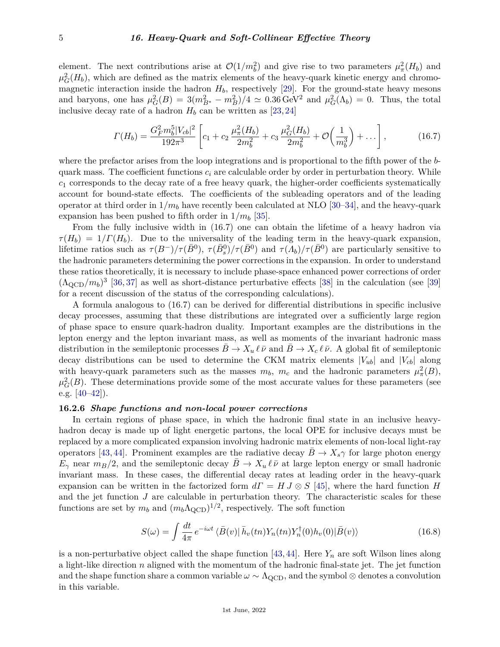element. The next contributions arise at  $\mathcal{O}(1/m_b^2)$  and give rise to two parameters  $\mu_\pi^2(H_b)$  and  $\mu_G^2(H_b)$ , which are defined as the matrix elements of the heavy-quark kinetic energy and chromomagnetic interaction inside the hadron  $H_b$ , respectively [\[29\]](#page-13-17). For the ground-state heavy mesons and baryons, one has  $\mu_G^2(B) = 3(m_{B^*}^2 - m_B^2)/4 \simeq 0.36 \,\text{GeV}^2$  and  $\mu_G^2(\Lambda_b) = 0$ . Thus, the total inclusive decay rate of a hadron  $H_b$  can be written as [\[23,](#page-13-18) [24\]](#page-13-19)

$$
\Gamma(H_b) = \frac{G_F^2 m_b^5 |V_{cb}|^2}{192\pi^3} \left[ c_1 + c_2 \frac{\mu_\pi^2(H_b)}{2m_b^2} + c_3 \frac{\mu_G^2(H_b)}{2m_b^2} + \mathcal{O}\left(\frac{1}{m_b^3}\right) + \dots \right],\tag{16.7}
$$

where the prefactor arises from the loop integrations and is proportional to the fifth power of the *b*quark mass. The coefficient functions  $c_i$  are calculable order by order in perturbation theory. While  $c_1$  corresponds to the decay rate of a free heavy quark, the higher-order coefficients systematically account for bound-state effects. The coefficients of the subleading operators and of the leading operator at third order in  $1/m_b$  have recently been calculated at NLO [\[30–](#page-13-20)[34\]](#page-13-21), and the heavy-quark expansion has been pushed to fifth order in  $1/m_b$  [\[35\]](#page-13-22).

From the fully inclusive width in (16.7) one can obtain the lifetime of a heavy hadron via  $\tau(H_b) = 1/\Gamma(H_b)$ . Due to the universality of the leading term in the heavy-quark expansion, lifetime ratios such as  $\tau(B^-)/\tau(\bar{B}^0)$ ,  $\tau(\bar{B}^0)/\tau(\bar{B}^0)$  and  $\tau(A_b)/\tau(\bar{B}^0)$  are particularly sensitive to the hadronic parameters determining the power corrections in the expansion. In order to understand these ratios theoretically, it is necessary to include phase-space enhanced power corrections of order  $(\Lambda_{\rm QCD}/m_b)^3$  [\[36,](#page-13-23) [37\]](#page-13-24) as well as short-distance perturbative effects [\[38\]](#page-13-25) in the calculation (see [\[39\]](#page-13-26) for a recent discussion of the status of the corresponding calculations).

A formula analogous to (16.7) can be derived for differential distributions in specific inclusive decay processes, assuming that these distributions are integrated over a sufficiently large region of phase space to ensure quark-hadron duality. Important examples are the distributions in the lepton energy and the lepton invariant mass, as well as moments of the invariant hadronic mass distribution in the semileptonic processes  $B \to X_u \ell \bar{\nu}$  and  $B \to X_c \ell \bar{\nu}$ . A global fit of semileptonic decay distributions can be used to determine the CKM matrix elements  $|V_{ub}|$  and  $|V_{cb}|$  along with heavy-quark parameters such as the masses  $m_b$ ,  $m_c$  and the hadronic parameters  $\mu^2_{\pi}(B)$ ,  $\mu_G^2(B)$ . These determinations provide some of the most accurate values for these parameters (see e.g.  $[40-42]$  $[40-42]$ .

#### **16.2.6** *Shape functions and non-local power corrections*

In certain regions of phase space, in which the hadronic final state in an inclusive heavyhadron decay is made up of light energetic partons, the local OPE for inclusive decays must be replaced by a more complicated expansion involving hadronic matrix elements of non-local light-ray operators [\[43,](#page-14-1) [44\]](#page-14-2). Prominent examples are the radiative decay  $B \to X_s \gamma$  for large photon energy  $E_{\gamma}$  near  $m_B/2$ , and the semileptonic decay  $B \to X_u \ell \bar{\nu}$  at large lepton energy or small hadronic invariant mass. In these cases, the differential decay rates at leading order in the heavy-quark expansion can be written in the factorized form  $d\Gamma = H J \otimes S$  [\[45\]](#page-14-3), where the hard function *H* and the jet function *J* are calculable in perturbation theory. The characteristic scales for these functions are set by  $m_b$  and  $(m_b \Lambda_{\text{QCD}})^{1/2}$ , respectively. The soft function

$$
S(\omega) = \int \frac{dt}{4\pi} e^{-i\omega t} \langle \bar{B}(v) | \bar{h}_v(tn) Y_n(tn) Y_n^\dagger(0) h_v(0) | \bar{B}(v) \rangle \tag{16.8}
$$

is a non-perturbative object called the shape function  $[43, 44]$  $[43, 44]$  $[43, 44]$ . Here  $Y_n$  are soft Wilson lines along a light-like direction *n* aligned with the momentum of the hadronic final-state jet. The jet function and the shape function share a common variable  $\omega \sim \Lambda_{\rm QCD}$ , and the symbol ⊗ denotes a convolution in this variable.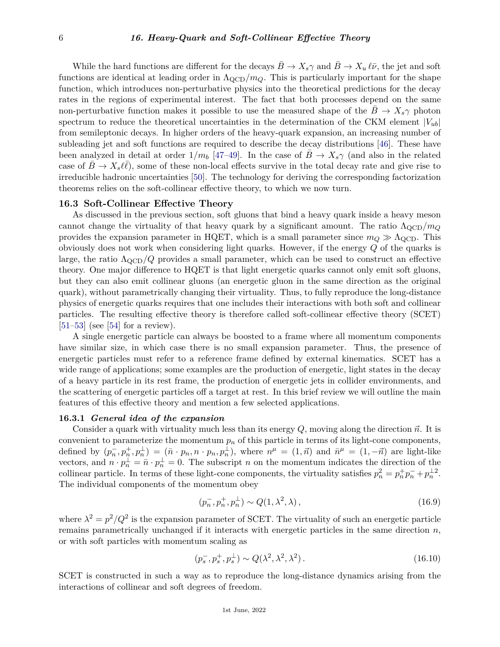While the hard functions are different for the decays  $B \to X_s \gamma$  and  $B \to X_u \ell \bar{\nu}$ , the jet and soft functions are identical at leading order in  $\Lambda_{\rm QCD}/m_Q$ . This is particularly important for the shape function, which introduces non-perturbative physics into the theoretical predictions for the decay rates in the regions of experimental interest. The fact that both processes depend on the same non-perturbative function makes it possible to use the measured shape of the  $B \to X_s \gamma$  photon spectrum to reduce the theoretical uncertainties in the determination of the CKM element  $|V_{ub}|$ from semileptonic decays. In higher orders of the heavy-quark expansion, an increasing number of subleading jet and soft functions are required to describe the decay distributions [\[46\]](#page-14-4). These have been analyzed in detail at order  $1/m_b$  [\[47](#page-14-5)[–49\]](#page-14-6). In the case of  $B \to X_s \gamma$  (and also in the related case of  $\bar{B} \to X_s \ell \bar{\ell}$ , some of these non-local effects survive in the total decay rate and give rise to irreducible hadronic uncertainties [\[50\]](#page-14-7). The technology for deriving the corresponding factorization theorems relies on the soft-collinear effective theory, to which we now turn.

#### **16.3 Soft-Collinear Effective Theory**

As discussed in the previous section, soft gluons that bind a heavy quark inside a heavy meson cannot change the virtuality of that heavy quark by a significant amount. The ratio  $\Lambda_{\text{QCD}}/m_Q$ provides the expansion parameter in HQET, which is a small parameter since  $m_Q \gg \Lambda_{\rm QCD}$ . This obviously does not work when considering light quarks. However, if the energy *Q* of the quarks is large, the ratio  $\Lambda_{\text{QCD}}/Q$  provides a small parameter, which can be used to construct an effective theory. One major difference to HQET is that light energetic quarks cannot only emit soft gluons, but they can also emit collinear gluons (an energetic gluon in the same direction as the original quark), without parametrically changing their virtuality. Thus, to fully reproduce the long-distance physics of energetic quarks requires that one includes their interactions with both soft and collinear particles. The resulting effective theory is therefore called soft-collinear effective theory (SCET)  $[51–53]$  $[51–53]$  (see [\[54\]](#page-14-10) for a review).

A single energetic particle can always be boosted to a frame where all momentum components have similar size, in which case there is no small expansion parameter. Thus, the presence of energetic particles must refer to a reference frame defined by external kinematics. SCET has a wide range of applications; some examples are the production of energetic, light states in the decay of a heavy particle in its rest frame, the production of energetic jets in collider environments, and the scattering of energetic particles off a target at rest. In this brief review we will outline the main features of this effective theory and mention a few selected applications.

## **16.3.1** *General idea of the expansion*

Consider a quark with virtuality much less than its energy  $Q$ , moving along the direction  $\vec{n}$ . It is convenient to parameterize the momentum  $p_n$  of this particle in terms of its light-cone components, defined by  $(p_n^-, p_n^+, p_n^{\perp}) = (\bar{n} \cdot p_n, n \cdot p_n, p_n^{\perp}),$  where  $n^{\mu} = (1, \vec{n})$  and  $\bar{n}^{\mu} = (1, -\vec{n})$  are light-like vectors, and  $n \cdot p_n^{\perp} = \bar{n} \cdot p_n^{\perp} = 0$ . The subscript *n* on the momentum indicates the direction of the collinear particle. In terms of these light-cone components, the virtuality satisfies  $p_n^2 = p_n^+ p_n^- + p_n^{\perp 2}$ . The individual components of the momentum obey

$$
(p_n^-, p_n^+, p_n^{\perp}) \sim Q(1, \lambda^2, \lambda), \qquad (16.9)
$$

where  $\lambda^2 = p^2/Q^2$  is the expansion parameter of SCET. The virtuality of such an energetic particle remains parametrically unchanged if it interacts with energetic particles in the same direction *n*, or with soft particles with momentum scaling as

$$
(p_s^-, p_s^+, p_s^{\perp}) \sim Q(\lambda^2, \lambda^2, \lambda^2). \tag{16.10}
$$

SCET is constructed in such a way as to reproduce the long-distance dynamics arising from the interactions of collinear and soft degrees of freedom.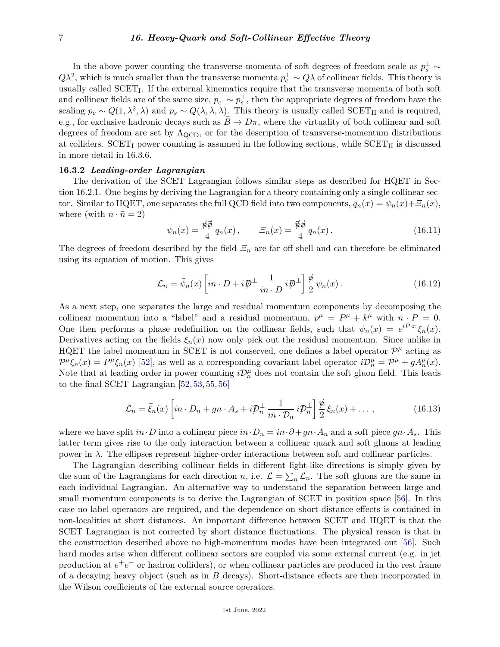In the above power counting the transverse momenta of soft degrees of freedom scale as  $p_s^{\perp} \sim$  $Q\lambda^2$ , which is much smaller than the transverse momenta  $p_c^{\perp} \sim Q\lambda$  of collinear fields. This theory is usually called SCET<sub>I</sub>. If the external kinematics require that the transverse momenta of both soft and collinear fields are of the same size,  $p_c^{\perp} \sim p_s^{\perp}$ , then the appropriate degrees of freedom have the scaling  $p_c \sim Q(1, \lambda^2, \lambda)$  and  $p_s \sim Q(\lambda, \lambda, \lambda)$ . This theory is usually called SCET<sub>II</sub> and is required, e.g., for exclusive hadronic decays such as  $\bar{B} \to D\pi$ , where the virtuality of both collinear and soft degrees of freedom are set by  $\Lambda_{\rm QCD}$ , or for the description of transverse-momentum distributions at colliders.  $SCET<sub>I</sub>$  power counting is assumed in the following sections, while  $SCET<sub>II</sub>$  is discussed in more detail in 16.3.6.

## **16.3.2** *Leading-order Lagrangian*

The derivation of the SCET Lagrangian follows similar steps as described for HQET in Section 16.2.1. One begins by deriving the Lagrangian for a theory containing only a single collinear sector. Similar to HQET, one separates the full QCD field into two components,  $q_n(x) = \psi_n(x) + \mathcal{Z}_n(x)$ , where (with  $n \cdot \bar{n} = 2$ )

$$
\psi_n(x) = \frac{\pi \vec{\phi}}{4} q_n(x), \qquad \Xi_n(x) = \frac{\vec{\phi}}{4} q_n(x). \tag{16.11}
$$

The degrees of freedom described by the field  $\mathcal{Z}_n$  are far off shell and can therefore be eliminated using its equation of motion. This gives

$$
\mathcal{L}_n = \bar{\psi}_n(x) \left[ in \cdot D + i \not\!\!D^\perp \frac{1}{i \bar{n} \cdot D} i \not\!\!D^\perp \right] \frac{\vec{\psi}}{2} \psi_n(x) \,. \tag{16.12}
$$

As a next step, one separates the large and residual momentum components by decomposing the collinear momentum into a "label" and a residual momentum,  $p^{\mu} = P^{\mu} + k^{\mu}$  with  $n \cdot P = 0$ . One then performs a phase redefinition on the collinear fields, such that  $\psi_n(x) = e^{iP \cdot x} \xi_n(x)$ . Derivatives acting on the fields  $\xi_n(x)$  now only pick out the residual momentum. Since unlike in HQET the label momentum in SCET is not conserved, one defines a label operator  $\mathcal{P}^{\mu}$  acting as  $\mathcal{P}^{\mu}\xi_{n}(x) = \mathcal{P}^{\mu}\xi_{n}(x)$  [\[52\]](#page-14-11), as well as a corresponding covariant label operator  $i\mathcal{D}_{n}^{\mu} = \mathcal{P}^{\mu} + gA_{n}^{\mu}(x)$ . Note that at leading order in power counting  $i\mathcal{D}_n^{\mu}$  does not contain the soft gluon field. This leads to the final SCET Lagrangian [\[52,](#page-14-11) [53,](#page-14-9) [55,](#page-14-12) [56\]](#page-14-13)

$$
\mathcal{L}_n = \bar{\xi}_n(x) \left[ in \cdot D_n + gn \cdot A_s + i \mathcal{P}_n^{\perp} \frac{1}{i\bar{n} \cdot \mathcal{D}_n} i \mathcal{P}_n^{\perp} \right] \frac{\vec{\mu}}{2} \xi_n(x) + \dots , \qquad (16.13)
$$

where we have split  $in \cdot D$  into a collinear piece  $in \cdot D_n = in \cdot \partial + gn \cdot A_n$  and a soft piece  $gn \cdot A_s$ . This latter term gives rise to the only interaction between a collinear quark and soft gluons at leading power in  $\lambda$ . The ellipses represent higher-order interactions between soft and collinear particles.

The Lagrangian describing collinear fields in different light-like directions is simply given by the sum of the Lagrangians for each direction *n*, i.e.  $\mathcal{L} = \sum_n \mathcal{L}_n$ . The soft gluons are the same in each individual Lagrangian. An alternative way to understand the separation between large and small momentum components is to derive the Lagrangian of SCET in position space [\[56\]](#page-14-13). In this case no label operators are required, and the dependence on short-distance effects is contained in non-localities at short distances. An important difference between SCET and HQET is that the SCET Lagrangian is not corrected by short distance fluctuations. The physical reason is that in the construction described above no high-momentum modes have been integrated out [\[56\]](#page-14-13). Such hard modes arise when different collinear sectors are coupled via some external current (e.g. in jet production at  $e^+e^-$  or hadron colliders), or when collinear particles are produced in the rest frame of a decaying heavy object (such as in *B* decays). Short-distance effects are then incorporated in the Wilson coefficients of the external source operators.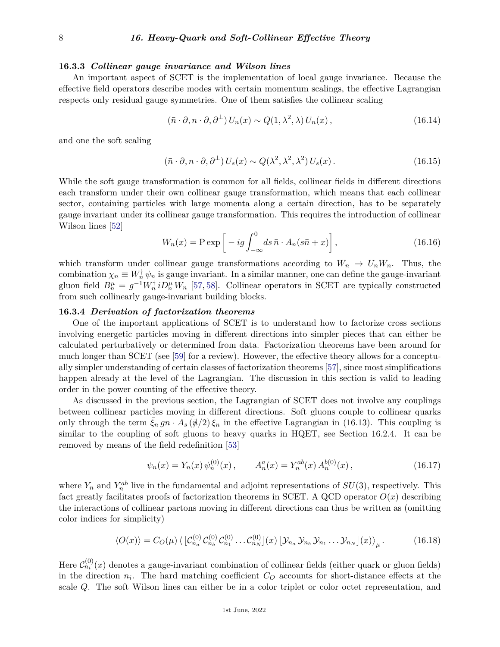#### **16.3.3** *Collinear gauge invariance and Wilson lines*

An important aspect of SCET is the implementation of local gauge invariance. Because the effective field operators describe modes with certain momentum scalings, the effective Lagrangian respects only residual gauge symmetries. One of them satisfies the collinear scaling

$$
(\bar{n} \cdot \partial, n \cdot \partial, \partial^{\perp}) U_n(x) \sim Q(1, \lambda^2, \lambda) U_n(x), \qquad (16.14)
$$

and one the soft scaling

$$
(\bar{n} \cdot \partial, n \cdot \partial, \partial^{\perp}) U_s(x) \sim Q(\lambda^2, \lambda^2, \lambda^2) U_s(x).
$$
 (16.15)

While the soft gauge transformation is common for all fields, collinear fields in different directions each transform under their own collinear gauge transformation, which means that each collinear sector, containing particles with large momenta along a certain direction, has to be separately gauge invariant under its collinear gauge transformation. This requires the introduction of collinear Wilson lines [\[52\]](#page-14-11)

$$
W_n(x) = P \exp\left[ -ig \int_{-\infty}^0 ds \,\bar{n} \cdot A_n(s\bar{n} + x) \right],\tag{16.16}
$$

which transform under collinear gauge transformations according to  $W_n \to U_n W_n$ . Thus, the combination  $\chi_n \equiv W_n^{\dagger} \psi_n$  is gauge invariant. In a similar manner, one can define the gauge-invariant gluon field  $B_n^{\mu} = g^{-1}W_n^{\dagger}iD_n^{\mu}W_n$  [\[57,](#page-14-14) [58\]](#page-14-15). Collinear operators in SCET are typically constructed from such collinearly gauge-invariant building blocks.

#### **16.3.4** *Derivation of factorization theorems*

One of the important applications of SCET is to understand how to factorize cross sections involving energetic particles moving in different directions into simpler pieces that can either be calculated perturbatively or determined from data. Factorization theorems have been around for much longer than SCET (see [\[59\]](#page-14-16) for a review). However, the effective theory allows for a conceptually simpler understanding of certain classes of factorization theorems [\[57\]](#page-14-14), since most simplifications happen already at the level of the Lagrangian. The discussion in this section is valid to leading order in the power counting of the effective theory.

As discussed in the previous section, the Lagrangian of SCET does not involve any couplings between collinear particles moving in different directions. Soft gluons couple to collinear quarks only through the term  $\xi_n g n \cdot A_s (\vec{\psi}/2) \xi_n$  in the effective Lagrangian in (16.13). This coupling is similar to the coupling of soft gluons to heavy quarks in HQET, see Section 16.2.4. It can be removed by means of the field redefinition [\[53\]](#page-14-9)

$$
\psi_n(x) = Y_n(x)\,\psi_n^{(0)}(x)\,, \qquad A_n^a(x) = Y_n^{ab}(x)\,A_n^{b(0)}(x)\,, \tag{16.17}
$$

where  $Y_n$  and  $Y_n^{ab}$  live in the fundamental and adjoint representations of  $SU(3)$ , respectively. This fact greatly facilitates proofs of factorization theorems in SCET. A QCD operator  $O(x)$  describing the interactions of collinear partons moving in different directions can thus be written as (omitting color indices for simplicity)

$$
\langle O(x) \rangle = C_O(\mu) \langle \left[ C_{n_a}^{(0)} C_{n_b}^{(0)} C_{n_1}^{(0)} \dots C_{n_N}^{(0)} \right] (x) \left[ \mathcal{Y}_{n_a} \mathcal{Y}_{n_b} \mathcal{Y}_{n_1} \dots \mathcal{Y}_{n_N} \right] (x) \rangle_{\mu}.
$$
 (16.18)

Here  $\mathcal{C}_{n_i}^{(0)}(x)$  denotes a gauge-invariant combination of collinear fields (either quark or gluon fields) in the direction  $n_i$ . The hard matching coefficient  $C<sub>O</sub>$  accounts for short-distance effects at the scale *Q*. The soft Wilson lines can either be in a color triplet or color octet representation, and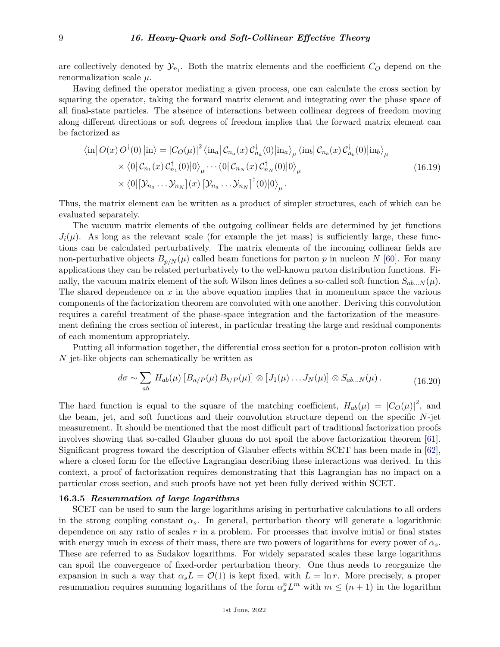are collectively denoted by  $\mathcal{Y}_{n_i}$ . Both the matrix elements and the coefficient  $C_O$  depend on the renormalization scale *µ*.

Having defined the operator mediating a given process, one can calculate the cross section by squaring the operator, taking the forward matrix element and integrating over the phase space of all final-state particles. The absence of interactions between collinear degrees of freedom moving along different directions or soft degrees of freedom implies that the forward matrix element can be factorized as

$$
\langle \text{in} | O(x) O^{\dagger}(0) | \text{in} \rangle = |C_O(\mu)|^2 \langle \text{in}_a | C_{n_a}(x) C_{n_a}^{\dagger}(0) | \text{in}_a \rangle_{\mu} \langle \text{in}_b | C_{n_b}(x) C_{n_b}^{\dagger}(0) | \text{in}_b \rangle_{\mu}
$$
  
 
$$
\times \langle 0 | C_{n_1}(x) C_{n_1}^{\dagger}(0) | 0 \rangle_{\mu} \cdots \langle 0 | C_{n_N}(x) C_{n_N}^{\dagger}(0) | 0 \rangle_{\mu}
$$
  
 
$$
\times \langle 0 | [\mathcal{Y}_{n_a} \cdots \mathcal{Y}_{n_N}] (x) [\mathcal{Y}_{n_a} \cdots \mathcal{Y}_{n_N}]^{\dagger}(0) | 0 \rangle_{\mu}.
$$
 (16.19)

Thus, the matrix element can be written as a product of simpler structures, each of which can be evaluated separately.

The vacuum matrix elements of the outgoing collinear fields are determined by jet functions  $J_i(\mu)$ . As long as the relevant scale (for example the jet mass) is sufficiently large, these functions can be calculated perturbatively. The matrix elements of the incoming collinear fields are non-perturbative objects  $B_{p/N}(\mu)$  called beam functions for parton p in nucleon N [\[60\]](#page-14-17). For many applications they can be related perturbatively to the well-known parton distribution functions. Finally, the vacuum matrix element of the soft Wilson lines defines a so-called soft function  $S_{ab\dots N}(\mu)$ . The shared dependence on  $x$  in the above equation implies that in momentum space the various components of the factorization theorem are convoluted with one another. Deriving this convolution requires a careful treatment of the phase-space integration and the factorization of the measurement defining the cross section of interest, in particular treating the large and residual components of each momentum appropriately.

Putting all information together, the differential cross section for a proton-proton collision with *N* jet-like objects can schematically be written as

$$
d\sigma \sim \sum_{ab} H_{ab}(\mu) \left[ B_{a/P}(\mu) B_{b/P}(\mu) \right] \otimes \left[ J_1(\mu) \dots J_N(\mu) \right] \otimes S_{ab\dots N}(\mu) \,. \tag{16.20}
$$

The hard function is equal to the square of the matching coefficient,  $H_{ab}(\mu) = |C_O(\mu)|^2$ , and the beam, jet, and soft functions and their convolution structure depend on the specific *N*-jet measurement. It should be mentioned that the most difficult part of traditional factorization proofs involves showing that so-called Glauber gluons do not spoil the above factorization theorem [\[61\]](#page-14-18). Significant progress toward the description of Glauber effects within SCET has been made in [\[62\]](#page-14-19), where a closed form for the effective Lagrangian describing these interactions was derived. In this context, a proof of factorization requires demonstrating that this Lagrangian has no impact on a particular cross section, and such proofs have not yet been fully derived within SCET.

## **16.3.5** *Resummation of large logarithms*

SCET can be used to sum the large logarithms arising in perturbative calculations to all orders in the strong coupling constant  $\alpha_s$ . In general, perturbation theory will generate a logarithmic dependence on any ratio of scales *r* in a problem. For processes that involve initial or final states with energy much in excess of their mass, there are two powers of logarithms for every power of *αs*. These are referred to as Sudakov logarithms. For widely separated scales these large logarithms can spoil the convergence of fixed-order perturbation theory. One thus needs to reorganize the expansion in such a way that  $\alpha_s L = \mathcal{O}(1)$  is kept fixed, with  $L = \ln r$ . More precisely, a proper resummation requires summing logarithms of the form  $\alpha_s^n L^m$  with  $m \leq (n+1)$  in the logarithm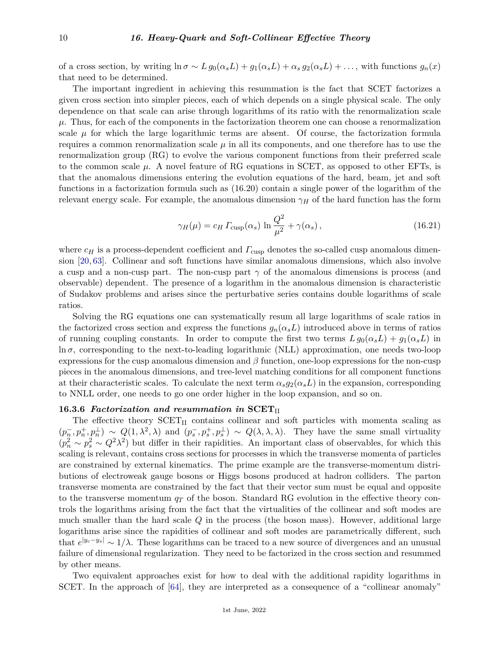of a cross section, by writing  $\ln \sigma \sim L g_0(\alpha_s L) + g_1(\alpha_s L) + \alpha_s g_2(\alpha_s L) + \dots$ , with functions  $g_n(x)$ that need to be determined.

The important ingredient in achieving this resummation is the fact that SCET factorizes a given cross section into simpler pieces, each of which depends on a single physical scale. The only dependence on that scale can arise through logarithms of its ratio with the renormalization scale  $\mu$ . Thus, for each of the components in the factorization theorem one can choose a renormalization scale  $\mu$  for which the large logarithmic terms are absent. Of course, the factorization formula requires a common renormalization scale  $\mu$  in all its components, and one therefore has to use the renormalization group (RG) to evolve the various component functions from their preferred scale to the common scale  $\mu$ . A novel feature of RG equations in SCET, as opposed to other EFTs, is that the anomalous dimensions entering the evolution equations of the hard, beam, jet and soft functions in a factorization formula such as (16.20) contain a single power of the logarithm of the relevant energy scale. For example, the anomalous dimension  $\gamma_H$  of the hard function has the form

$$
\gamma_H(\mu) = c_H \Gamma_{\text{cusp}}(\alpha_s) \ln \frac{Q^2}{\mu^2} + \gamma(\alpha_s), \qquad (16.21)
$$

where  $c_H$  is a process-dependent coefficient and  $\Gamma_{\text{cusp}}$  denotes the so-called cusp anomalous dimension [\[20,](#page-13-11) [63\]](#page-14-20). Collinear and soft functions have similar anomalous dimensions, which also involve a cusp and a non-cusp part. The non-cusp part  $\gamma$  of the anomalous dimensions is process (and observable) dependent. The presence of a logarithm in the anomalous dimension is characteristic of Sudakov problems and arises since the perturbative series contains double logarithms of scale ratios.

Solving the RG equations one can systematically resum all large logarithms of scale ratios in the factorized cross section and express the functions  $g_n(\alpha_s L)$  introduced above in terms of ratios of running coupling constants. In order to compute the first two terms  $L g_0(\alpha_s L) + g_1(\alpha_s L)$  in  $\ln \sigma$ , corresponding to the next-to-leading logarithmic (NLL) approximation, one needs two-loop expressions for the cusp anomalous dimension and *β* function, one-loop expressions for the non-cusp pieces in the anomalous dimensions, and tree-level matching conditions for all component functions at their characteristic scales. To calculate the next term  $\alpha_s g_2(\alpha_s L)$  in the expansion, corresponding to NNLL order, one needs to go one order higher in the loop expansion, and so on.

## **16.3.6** Factorization and resummation in SCET<sub>II</sub>

The effective theory  $SCEPT_{II}$  contains collinear and soft particles with momenta scaling as  $(p_n^-, p_n^+, p_n^+) \sim Q(1, \lambda^2, \lambda)$  and  $(p_s^-, p_s^+, p_s^+) \sim Q(\lambda, \lambda, \lambda)$ . They have the same small virtuality  $(p_n^2 \sim p_s^2 \sim Q^2 \lambda^2)$  but differ in their rapidities. An important class of observables, for which this scaling is relevant, contains cross sections for processes in which the transverse momenta of particles are constrained by external kinematics. The prime example are the transverse-momentum distributions of electroweak gauge bosons or Higgs bosons produced at hadron colliders. The parton transverse momenta are constrained by the fact that their vector sum must be equal and opposite to the transverse momentum  $q<sub>T</sub>$  of the boson. Standard RG evolution in the effective theory controls the logarithms arising from the fact that the virtualities of the collinear and soft modes are much smaller than the hard scale *Q* in the process (the boson mass). However, additional large logarithms arise since the rapidities of collinear and soft modes are parametrically different, such that  $e^{|y_c-y_s|} \sim 1/\lambda$ . These logarithms can be traced to a new source of divergences and an unusual failure of dimensional regularization. They need to be factorized in the cross section and resummed by other means.

Two equivalent approaches exist for how to deal with the additional rapidity logarithms in SCET. In the approach of [\[64\]](#page-14-21), they are interpreted as a consequence of a "collinear anomaly"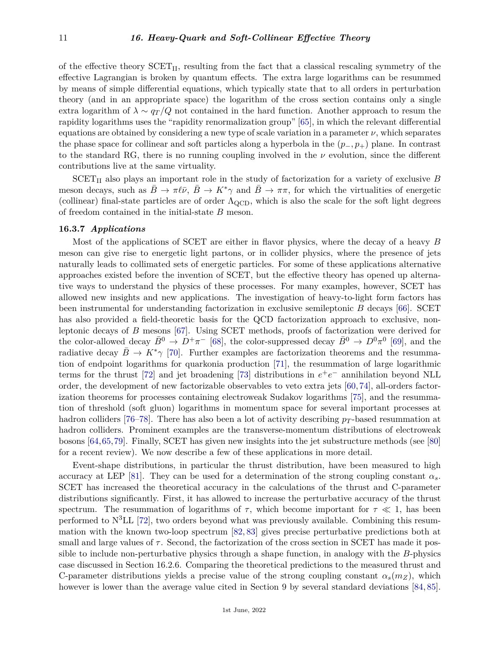of the effective theory  $SCET_{II}$ , resulting from the fact that a classical rescaling symmetry of the effective Lagrangian is broken by quantum effects. The extra large logarithms can be resummed by means of simple differential equations, which typically state that to all orders in perturbation theory (and in an appropriate space) the logarithm of the cross section contains only a single extra logarithm of  $\lambda \sim q_T/Q$  not contained in the hard function. Another approach to resum the rapidity logarithms uses the "rapidity renormalization group" [\[65\]](#page-14-22), in which the relevant differential equations are obtained by considering a new type of scale variation in a parameter  $\nu$ , which separates the phase space for collinear and soft particles along a hyperbola in the (*p*−*, p*+) plane. In contrast to the standard RG, there is no running coupling involved in the *ν* evolution, since the different contributions live at the same virtuality.

 $SCET<sub>II</sub>$  also plays an important role in the study of factorization for a variety of exclusive *B* meson decays, such as  $B \to \pi \ell \bar{\nu}$ ,  $B \to K^* \gamma$  and  $B \to \pi \pi$ , for which the virtualities of energetic (collinear) final-state particles are of order  $\Lambda_{\text{QCD}}$ , which is also the scale for the soft light degrees of freedom contained in the initial-state *B* meson.

#### **16.3.7** *Applications*

Most of the applications of SCET are either in flavor physics, where the decay of a heavy *B* meson can give rise to energetic light partons, or in collider physics, where the presence of jets naturally leads to collimated sets of energetic particles. For some of these applications alternative approaches existed before the invention of SCET, but the effective theory has opened up alternative ways to understand the physics of these processes. For many examples, however, SCET has allowed new insights and new applications. The investigation of heavy-to-light form factors has been instrumental for understanding factorization in exclusive semileptonic *B* decays [\[66\]](#page-14-23). SCET has also provided a field-theoretic basis for the QCD factorization approach to exclusive, nonleptonic decays of *B* mesons [\[67\]](#page-14-24). Using SCET methods, proofs of factorization were derived for the color-allowed decay  $\bar{B}^0 \to D^+\pi^-$  [\[68\]](#page-14-25), the color-suppressed decay  $\bar{B}^0 \to D^0\pi^0$  [\[69\]](#page-14-26), and the radiative decay  $B \to K^* \gamma$  [\[70\]](#page-14-27). Further examples are factorization theorems and the resummation of endpoint logarithms for quarkonia production [\[71\]](#page-14-28), the resummation of large logarithmic terms for the thrust [\[72\]](#page-14-29) and jet broadening [\[73\]](#page-14-30) distributions in  $e^+e^-$  annihilation beyond NLL order, the development of new factorizable observables to veto extra jets [\[60,](#page-14-17) [74\]](#page-14-31), all-orders factorization theorems for processes containing electroweak Sudakov logarithms [\[75\]](#page-14-32), and the resummation of threshold (soft gluon) logarithms in momentum space for several important processes at hadron colliders [\[76–](#page-14-33)[78\]](#page-15-0). There has also been a lot of activity describing  $p_T$ -based resummation at hadron colliders. Prominent examples are the transverse-momentum distributions of electroweak bosons [\[64,](#page-14-21)[65,](#page-14-22)[79\]](#page-15-1). Finally, SCET has given new insights into the jet substructure methods (see [\[80\]](#page-15-2) for a recent review). We now describe a few of these applications in more detail.

Event-shape distributions, in particular the thrust distribution, have been measured to high accuracy at LEP [\[81\]](#page-15-3). They can be used for a determination of the strong coupling constant *αs*. SCET has increased the theoretical accuracy in the calculations of the thrust and C-parameter distributions significantly. First, it has allowed to increase the perturbative accuracy of the thrust spectrum. The resummation of logarithms of  $\tau$ , which become important for  $\tau \ll 1$ , has been performed to  $N<sup>3</sup>LL$  [\[72\]](#page-14-29), two orders beyond what was previously available. Combining this resummation with the known two-loop spectrum [\[82,](#page-15-4) [83\]](#page-15-5) gives precise perturbative predictions both at small and large values of  $\tau$ . Second, the factorization of the cross section in SCET has made it possible to include non-perturbative physics through a shape function, in analogy with the *B*-physics case discussed in Section 16.2.6. Comparing the theoretical predictions to the measured thrust and C-parameter distributions yields a precise value of the strong coupling constant  $\alpha_s(m_Z)$ , which however is lower than the average value cited in Section 9 by several standard deviations [\[84,](#page-15-6) [85\]](#page-15-7).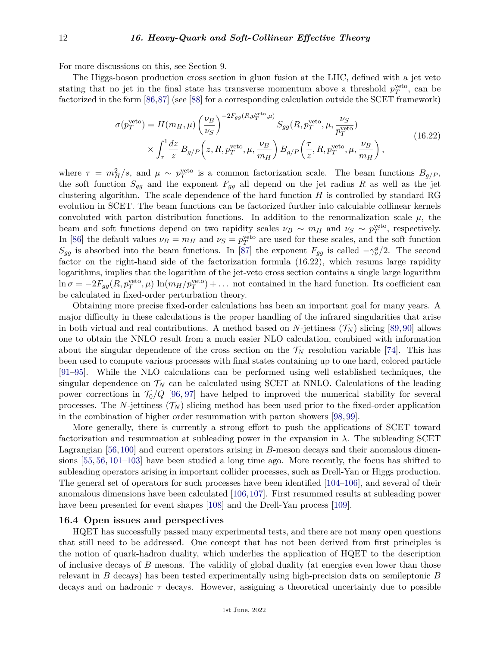For more discussions on this, see Section 9.

The Higgs-boson production cross section in gluon fusion at the LHC, defined with a jet veto stating that no jet in the final state has transverse momentum above a threshold  $p_T^{\text{veto}}$ , can be factorized in the form [\[86,](#page-15-8)[87\]](#page-15-9) (see [\[88\]](#page-15-10) for a corresponding calculation outside the SCET framework)

$$
\sigma(p_T^{\text{veto}}) = H(m_H, \mu) \left(\frac{\nu_B}{\nu_S}\right)^{-2F_{gg}(R, p_T^{\text{veto}}, \mu)} S_{gg}(R, p_T^{\text{veto}}, \mu, \frac{\nu_S}{p_T^{\text{veto}}})
$$
  
 
$$
\times \int_{\tau}^1 \frac{dz}{z} B_{g/P}\left(z, R, p_T^{\text{veto}}, \mu, \frac{\nu_B}{m_H}\right) B_{g/P}\left(\frac{\tau}{z}, R, p_T^{\text{veto}}, \mu, \frac{\nu_B}{m_H}\right), \tag{16.22}
$$

where  $\tau = m_H^2/s$ , and  $\mu \sim p_T^{\text{veto}}$  is a common factorization scale. The beam functions  $B_{g/P}$ , the soft function  $S_{gg}$  and the exponent  $F_{gg}$  all depend on the jet radius R as well as the jet clustering algorithm. The scale dependence of the hard function *H* is controlled by standard RG evolution in SCET. The beam functions can be factorized further into calculable collinear kernels convoluted with parton distribution functions. In addition to the renormalization scale  $\mu$ , the beam and soft functions depend on two rapidity scales  $\nu_B \sim m_H$  and  $\nu_S \sim p_T^{\text{veto}}$ , respectively. In [\[86\]](#page-15-8) the default values  $\nu_B = m_H$  and  $\nu_S = p_T^{\text{veto}}$  are used for these scales, and the soft function *S*<sub>*gg*</sub> is absorbed into the beam functions. In [\[87\]](#page-15-9) the exponent  $F_{gg}$  is called  $-\gamma_{\nu}^g/2$ . The second factor on the right-hand side of the factorization formula (16.22), which resums large rapidity logarithms, implies that the logarithm of the jet-veto cross section contains a single large logarithm  $\ln \sigma = -2F_{gg}(R, p_T^{\text{veto}}, \mu) \ln(m_H/p_T^{\text{veto}}) + \dots$  not contained in the hard function. Its coefficient can be calculated in fixed-order perturbation theory.

Obtaining more precise fixed-order calculations has been an important goal for many years. A major difficulty in these calculations is the proper handling of the infrared singularities that arise in both virtual and real contributions. A method based on *N*-jettiness  $(\mathcal{T}_N)$  slicing [\[89,](#page-15-11) [90\]](#page-15-12) allows one to obtain the NNLO result from a much easier NLO calculation, combined with information about the singular dependence of the cross section on the  $\mathcal{T}_N$  resolution variable [\[74\]](#page-14-31). This has been used to compute various processes with final states containing up to one hard, colored particle [\[91](#page-15-13)[–95\]](#page-15-14). While the NLO calculations can be performed using well established techniques, the singular dependence on  $\mathcal{T}_N$  can be calculated using SCET at NNLO. Calculations of the leading power corrections in  $\mathcal{T}_0/Q$  [\[96,](#page-15-15) [97\]](#page-15-16) have helped to improved the numerical stability for several processes. The *N*-jettiness  $(\mathcal{T}_N)$  slicing method has been used prior to the fixed-order application in the combination of higher order resummation with parton showers [\[98,](#page-15-17) [99\]](#page-15-18).

More generally, there is currently a strong effort to push the applications of SCET toward factorization and resummation at subleading power in the expansion in  $\lambda$ . The subleading SCET Lagrangian [\[56,](#page-14-13) [100\]](#page-15-19) and current operators arising in *B*-meson decays and their anomalous dimensions [\[55,](#page-14-12) [56,](#page-14-13) [101](#page-15-20)[–103\]](#page-15-21) have been studied a long time ago. More recently, the focus has shifted to subleading operators arising in important collider processes, such as Drell-Yan or Higgs production. The general set of operators for such processes have been identified [\[104–](#page-15-22)[106\]](#page-15-23), and several of their anomalous dimensions have been calculated [\[106,](#page-15-23)[107\]](#page-15-24). First resummed results at subleading power have been presented for event shapes [\[108\]](#page-15-25) and the Drell-Yan process [\[109\]](#page-15-26).

## **16.4 Open issues and perspectives**

HQET has successfully passed many experimental tests, and there are not many open questions that still need to be addressed. One concept that has not been derived from first principles is the notion of quark-hadron duality, which underlies the application of HQET to the description of inclusive decays of *B* mesons. The validity of global duality (at energies even lower than those relevant in *B* decays) has been tested experimentally using high-precision data on semileptonic *B* decays and on hadronic *τ* decays. However, assigning a theoretical uncertainty due to possible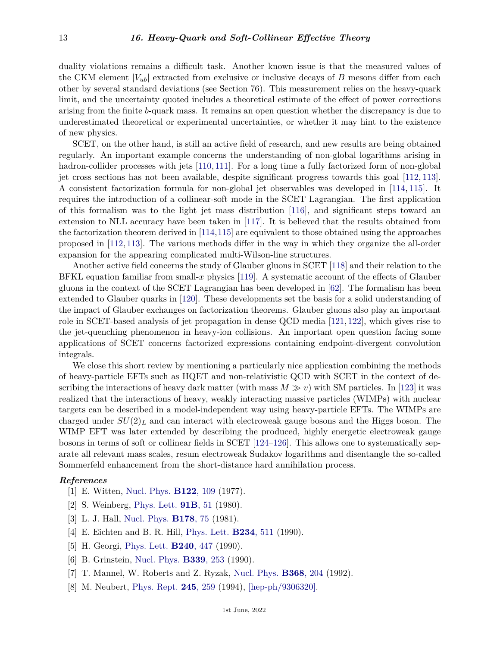duality violations remains a difficult task. Another known issue is that the measured values of the CKM element  $|V_{ub}|$  extracted from exclusive or inclusive decays of *B* mesons differ from each other by several standard deviations (see Section 76). This measurement relies on the heavy-quark limit, and the uncertainty quoted includes a theoretical estimate of the effect of power corrections arising from the finite *b*-quark mass. It remains an open question whether the discrepancy is due to underestimated theoretical or experimental uncertainties, or whether it may hint to the existence of new physics.

SCET, on the other hand, is still an active field of research, and new results are being obtained regularly. An important example concerns the understanding of non-global logarithms arising in hadron-collider processes with jets [\[110,](#page-15-27) [111\]](#page-15-28). For a long time a fully factorized form of non-global jet cross sections has not been available, despite significant progress towards this goal [\[112,](#page-15-29) [113\]](#page-15-30). A consistent factorization formula for non-global jet observables was developed in [\[114,](#page-15-31) [115\]](#page-15-32). It requires the introduction of a collinear-soft mode in the SCET Lagrangian. The first application of this formalism was to the light jet mass distribution [\[116\]](#page-16-0), and significant steps toward an extension to NLL accuracy have been taken in [\[117\]](#page-16-1). It is believed that the results obtained from the factorization theorem derived in [\[114,](#page-15-31)[115\]](#page-15-32) are equivalent to those obtained using the approaches proposed in [\[112,](#page-15-29) [113\]](#page-15-30). The various methods differ in the way in which they organize the all-order expansion for the appearing complicated multi-Wilson-line structures.

Another active field concerns the study of Glauber gluons in SCET [\[118\]](#page-16-2) and their relation to the BFKL equation familiar from small-*x* physics [\[119\]](#page-16-3). A systematic account of the effects of Glauber gluons in the context of the SCET Lagrangian has been developed in [\[62\]](#page-14-19). The formalism has been extended to Glauber quarks in [\[120\]](#page-16-4). These developments set the basis for a solid understanding of the impact of Glauber exchanges on factorization theorems. Glauber gluons also play an important role in SCET-based analysis of jet propagation in dense QCD media [\[121,](#page-16-5) [122\]](#page-16-6), which gives rise to the jet-quenching phenomenon in heavy-ion collisions. An important open question facing some applications of SCET concerns factorized expressions containing endpoint-divergent convolution integrals.

We close this short review by mentioning a particularly nice application combining the methods of heavy-particle EFTs such as HQET and non-relativistic QCD with SCET in the context of describing the interactions of heavy dark matter (with mass  $M \gg v$ ) with SM particles. In [\[123\]](#page-16-7) it was realized that the interactions of heavy, weakly interacting massive particles (WIMPs) with nuclear targets can be described in a model-independent way using heavy-particle EFTs. The WIMPs are charged under  $SU(2)_L$  and can interact with electroweak gauge bosons and the Higgs boson. The WIMP EFT was later extended by describing the produced, highly energetic electroweak gauge bosons in terms of soft or collinear fields in SCET [\[124–](#page-16-8)[126\]](#page-16-9). This allows one to systematically separate all relevant mass scales, resum electroweak Sudakov logarithms and disentangle the so-called Sommerfeld enhancement from the short-distance hard annihilation process.

## <span id="page-12-0"></span>*References*

- [1] E. Witten, [Nucl. Phys.](http://doi.org/10.1016/0550-3213(77)90428-X) **[B122](http://doi.org/10.1016/0550-3213(77)90428-X)**, 109 (1977).
- [2] S. Weinberg, [Phys. Lett.](http://doi.org/10.1016/0370-2693(80)90660-7) **[91B](http://doi.org/10.1016/0370-2693(80)90660-7)**, 51 (1980).
- <span id="page-12-1"></span>[3] L. J. Hall, [Nucl. Phys.](http://doi.org/10.1016/0550-3213(81)90498-3) **[B178](http://doi.org/10.1016/0550-3213(81)90498-3)**, 75 (1981).
- <span id="page-12-2"></span>[4] E. Eichten and B. R. Hill, [Phys. Lett.](http://doi.org/10.1016/0370-2693(90)92049-O) **[B234](http://doi.org/10.1016/0370-2693(90)92049-O)**, 511 (1990).
- [5] H. Georgi, [Phys. Lett.](http://doi.org/10.1016/0370-2693(90)91128-X) **[B240](http://doi.org/10.1016/0370-2693(90)91128-X)**, 447 (1990).
- [6] B. Grinstein, [Nucl. Phys.](http://doi.org/10.1016/0550-3213(90)90349-I) **[B339](http://doi.org/10.1016/0550-3213(90)90349-I)**, 253 (1990).
- <span id="page-12-3"></span>[7] T. Mannel, W. Roberts and Z. Ryzak, [Nucl. Phys.](http://doi.org/10.1016/0550-3213(92)90204-O) **[B368](http://doi.org/10.1016/0550-3213(92)90204-O)**, 204 (1992).
- <span id="page-12-4"></span>[8] M. Neubert, [Phys. Rept.](http://doi.org/10.1016/0370-1573(94)90091-4) **245**[, 259](http://doi.org/10.1016/0370-1573(94)90091-4) (1994), [\[hep-ph/9306320\].](https://arxiv.org/abs/hep-ph/9306320)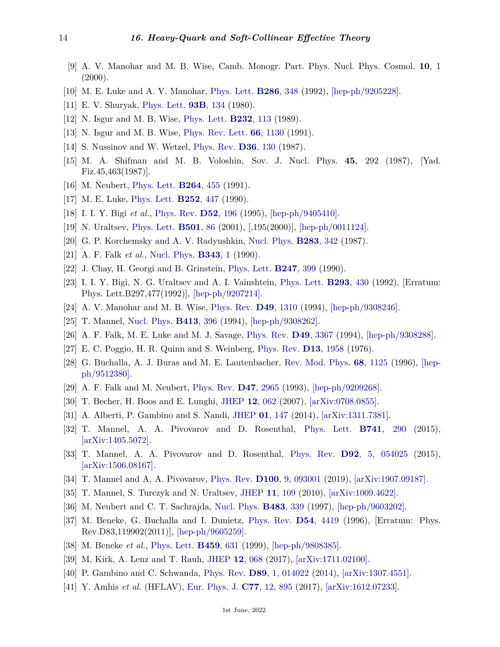- <span id="page-13-0"></span>[9] A. V. Manohar and M. B. Wise, Camb. Monogr. Part. Phys. Nucl. Phys. Cosmol. **10**, 1  $(2000).$
- <span id="page-13-1"></span>[10] M. E. Luke and A. V. Manohar, [Phys. Lett.](http://doi.org/10.1016/0370-2693(92)91786-9) **[B286](http://doi.org/10.1016/0370-2693(92)91786-9)**, 348 (1992), [\[hep-ph/9205228\].](https://arxiv.org/abs/hep-ph/9205228)
- <span id="page-13-2"></span>[11] E. V. Shuryak, [Phys. Lett.](http://doi.org/10.1016/0370-2693(80)90111-2) **93B**[, 134](http://doi.org/10.1016/0370-2693(80)90111-2) (1980).
- <span id="page-13-3"></span>[12] N. Isgur and M. B. Wise, [Phys. Lett.](http://doi.org/10.1016/0370-2693(89)90566-2) **[B232](http://doi.org/10.1016/0370-2693(89)90566-2)**, 113 (1989).
- <span id="page-13-4"></span>[13] N. Isgur and M. B. Wise, [Phys. Rev. Lett.](http://doi.org/10.1103/PhysRevLett.66.1130) **66**[, 1130](http://doi.org/10.1103/PhysRevLett.66.1130) (1991).
- <span id="page-13-5"></span>[14] S. Nussinov and W. Wetzel, [Phys. Rev.](http://doi.org/10.1103/PhysRevD.36.130) **D36**[, 130](http://doi.org/10.1103/PhysRevD.36.130) (1987).
- <span id="page-13-6"></span>[15] M. A. Shifman and M. B. Voloshin, Sov. J. Nucl. Phys. **45**, 292 (1987), [Yad. Fiz.45,463(1987)].
- <span id="page-13-7"></span>[16] M. Neubert, [Phys. Lett.](http://doi.org/10.1016/0370-2693(91)90377-3) **[B264](http://doi.org/10.1016/0370-2693(91)90377-3)**, 455 (1991).
- <span id="page-13-8"></span>[17] M. E. Luke, [Phys. Lett.](http://doi.org/10.1016/0370-2693(90)90568-Q) **[B252](http://doi.org/10.1016/0370-2693(90)90568-Q)**, 447 (1990).
- <span id="page-13-9"></span>[18] I. I. Y. Bigi *et al.*, [Phys. Rev.](http://doi.org/10.1103/PhysRevD.52.196) **D52**[, 196](http://doi.org/10.1103/PhysRevD.52.196) (1995), [\[hep-ph/9405410\].](https://arxiv.org/abs/hep-ph/9405410)
- <span id="page-13-10"></span>[19] N. Uraltsev, [Phys. Lett.](http://doi.org/10.1016/S0370-2693(01)00110-1) **[B501](http://doi.org/10.1016/S0370-2693(01)00110-1)**, 86 (2001), [,195(2000)], [\[hep-ph/0011124\].](https://arxiv.org/abs/hep-ph/0011124)
- <span id="page-13-11"></span>[20] G. P. Korchemsky and A. V. Radyushkin, [Nucl. Phys.](http://doi.org/10.1016/0550-3213(87)90277-X) **[B283](http://doi.org/10.1016/0550-3213(87)90277-X)**, 342 (1987).
- <span id="page-13-12"></span>[21] A. F. Falk *et al.*, [Nucl. Phys.](http://doi.org/10.1016/0550-3213(90)90591-Z) **[B343](http://doi.org/10.1016/0550-3213(90)90591-Z)**, 1 (1990).
- <span id="page-13-13"></span>[22] J. Chay, H. Georgi and B. Grinstein, [Phys. Lett.](http://doi.org/10.1016/0370-2693(90)90916-T) **[B247](http://doi.org/10.1016/0370-2693(90)90916-T)**, 399 (1990).
- <span id="page-13-18"></span>[23] I. I. Y. Bigi, N. G. Uraltsev and A. I. Vainshtein, [Phys. Lett.](http://doi.org/10.1016/0370-2693(92)90908-M) **[B293](http://doi.org/10.1016/0370-2693(92)90908-M)**, 430 (1992), [Erratum: Phys. Lett.B297,477(1992)], [\[hep-ph/9207214\].](https://arxiv.org/abs/hep-ph/9207214)
- <span id="page-13-19"></span>[24] A. V. Manohar and M. B. Wise, [Phys. Rev.](http://doi.org/10.1103/PhysRevD.49.1310) **D49**[, 1310](http://doi.org/10.1103/PhysRevD.49.1310) (1994), [\[hep-ph/9308246\].](https://arxiv.org/abs/hep-ph/9308246)
- [25] T. Mannel, [Nucl. Phys.](http://doi.org/10.1016/0550-3213(94)90625-4) **[B413](http://doi.org/10.1016/0550-3213(94)90625-4)**, 396 (1994), [\[hep-ph/9308262\].](https://arxiv.org/abs/hep-ph/9308262)
- <span id="page-13-14"></span>[26] A. F. Falk, M. E. Luke and M. J. Savage, [Phys. Rev.](http://doi.org/10.1103/PhysRevD.49.3367) **D49**[, 3367](http://doi.org/10.1103/PhysRevD.49.3367) (1994), [\[hep-ph/9308288\].](https://arxiv.org/abs/hep-ph/9308288)
- <span id="page-13-15"></span>[27] E. C. Poggio, H. R. Quinn and S. Weinberg, [Phys. Rev.](http://doi.org/10.1103/PhysRevD.13.1958) **D13**[, 1958](http://doi.org/10.1103/PhysRevD.13.1958) (1976).
- <span id="page-13-16"></span>[28] G. Buchalla, A. J. Buras and M. E. Lautenbacher, [Rev. Mod. Phys.](http://doi.org/10.1103/RevModPhys.68.1125) **68**[, 1125](http://doi.org/10.1103/RevModPhys.68.1125) (1996), [\[hep](https://arxiv.org/abs/hep-ph/9512380)[ph/9512380\].](https://arxiv.org/abs/hep-ph/9512380)
- <span id="page-13-17"></span>[29] A. F. Falk and M. Neubert, [Phys. Rev.](http://doi.org/10.1103/PhysRevD.47.2965) **D47**[, 2965](http://doi.org/10.1103/PhysRevD.47.2965) (1993), [\[hep-ph/9209268\].](https://arxiv.org/abs/hep-ph/9209268)
- <span id="page-13-20"></span>[30] T. Becher, H. Boos and E. Lunghi, [JHEP](http://doi.org/10.1088/1126-6708/2007/12/062) **12**[, 062](http://doi.org/10.1088/1126-6708/2007/12/062) (2007), [\[arXiv:0708.0855\].](https://arxiv.org/abs/0708.0855)
- [31] A. Alberti, P. Gambino and S. Nandi, [JHEP](http://doi.org/10.1007/JHEP01(2014)147) **01**[, 147](http://doi.org/10.1007/JHEP01(2014)147) (2014), [\[arXiv:1311.7381\].](https://arxiv.org/abs/1311.7381)
- [32] T. Mannel, A. A. Pivovarov and D. Rosenthal, [Phys. Lett.](http://doi.org/10.1016/j.physletb.2014.12.058) **B741**[, 290](http://doi.org/10.1016/j.physletb.2014.12.058) (2015), [\[arXiv:1405.5072\].](https://arxiv.org/abs/1405.5072)
- [33] T. Mannel, A. A. Pivovarov and D. Rosenthal, [Phys. Rev.](http://doi.org/10.1103/PhysRevD.92.054025) **D92**[, 5, 054025](http://doi.org/10.1103/PhysRevD.92.054025) (2015),  $\arXiv:1506.08167$ .
- <span id="page-13-21"></span>[34] T. Mannel and A. A. Pivovarov, [Phys. Rev.](http://doi.org/10.1103/PhysRevD.100.093001) **D100**[, 9, 093001](http://doi.org/10.1103/PhysRevD.100.093001) (2019), [\[arXiv:1907.09187\].](https://arxiv.org/abs/1907.09187)
- <span id="page-13-22"></span>[35] T. Mannel, S. Turczyk and N. Uraltsev, [JHEP](http://doi.org/10.1007/JHEP11(2010)109) **11**[, 109](http://doi.org/10.1007/JHEP11(2010)109) (2010), [\[arXiv:1009.4622\].](https://arxiv.org/abs/1009.4622)
- <span id="page-13-23"></span>[36] M. Neubert and C. T. Sachrajda, [Nucl. Phys.](http://doi.org/10.1016/S0550-3213(96)00559-7) **[B483](http://doi.org/10.1016/S0550-3213(96)00559-7)**, 339 (1997), [\[hep-ph/9603202\].](https://arxiv.org/abs/hep-ph/9603202)
- <span id="page-13-24"></span>[37] M. Beneke, G. Buchalla and I. Dunietz, [Phys. Rev.](http://doi.org/10.1103/PhysRevD.54.4419) **D54**[, 4419](http://doi.org/10.1103/PhysRevD.54.4419) (1996), [Erratum: Phys. Rev.D83,119902(2011)], [\[hep-ph/9605259\].](https://arxiv.org/abs/hep-ph/9605259)
- <span id="page-13-26"></span><span id="page-13-25"></span>[38] M. Beneke *et al.*, [Phys. Lett.](http://doi.org/10.1016/S0370-2693(99)00684-X) **[B459](http://doi.org/10.1016/S0370-2693(99)00684-X)**, 631 (1999), [\[hep-ph/9808385\].](https://arxiv.org/abs/hep-ph/9808385)
- <span id="page-13-27"></span>[39] M. Kirk, A. Lenz and T. Rauh, [JHEP](http://doi.org/10.1007/JHEP12(2017)068) **12**[, 068](http://doi.org/10.1007/JHEP12(2017)068) (2017), [\[arXiv:1711.02100\].](https://arxiv.org/abs/1711.02100)
- [40] P. Gambino and C. Schwanda, [Phys. Rev.](http://doi.org/10.1103/PhysRevD.89.014022) **D89**[, 1, 014022](http://doi.org/10.1103/PhysRevD.89.014022) (2014), [\[arXiv:1307.4551\].](https://arxiv.org/abs/1307.4551)
- [41] Y. Amhis *et al.* (HFLAV), [Eur. Phys. J.](http://doi.org/10.1140/epjc/s10052-017-5058-4) **C77**[, 12, 895](http://doi.org/10.1140/epjc/s10052-017-5058-4) (2017), [\[arXiv:1612.07233\].](https://arxiv.org/abs/1612.07233)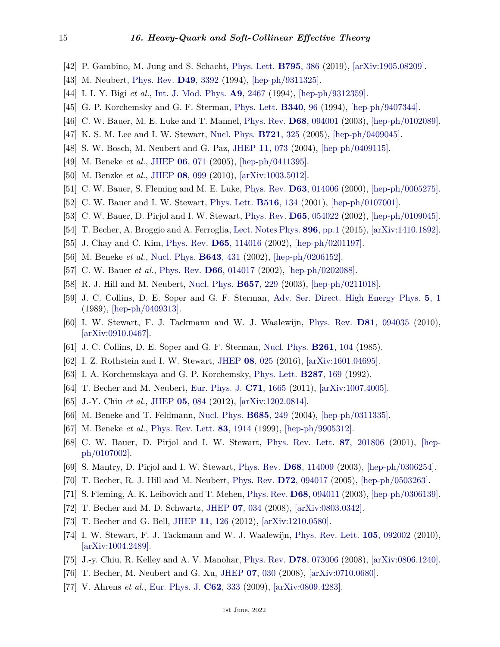- <span id="page-14-0"></span>[42] P. Gambino, M. Jung and S. Schacht, [Phys. Lett.](http://doi.org/10.1016/j.physletb.2019.06.039) **[B795](http://doi.org/10.1016/j.physletb.2019.06.039)**, 386 (2019), [\[arXiv:1905.08209\].](https://arxiv.org/abs/1905.08209)
- <span id="page-14-1"></span>[43] M. Neubert, [Phys. Rev.](http://doi.org/10.1103/PhysRevD.49.3392) **D49**[, 3392](http://doi.org/10.1103/PhysRevD.49.3392) (1994), [\[hep-ph/9311325\].](https://arxiv.org/abs/hep-ph/9311325)
- <span id="page-14-2"></span>[44] I. I. Y. Bigi *et al.*, [Int. J. Mod. Phys.](http://doi.org/10.1142/S0217751X94000996) **A9**[, 2467](http://doi.org/10.1142/S0217751X94000996) (1994), [\[hep-ph/9312359\].](https://arxiv.org/abs/hep-ph/9312359)
- <span id="page-14-3"></span>[45] G. P. Korchemsky and G. F. Sterman, [Phys. Lett.](http://doi.org/10.1016/0370-2693(94)91304-8) **[B340](http://doi.org/10.1016/0370-2693(94)91304-8)**, 96 (1994), [\[hep-ph/9407344\].](https://arxiv.org/abs/hep-ph/9407344)
- <span id="page-14-4"></span>[46] C. W. Bauer, M. E. Luke and T. Mannel, [Phys. Rev.](http://doi.org/10.1103/PhysRevD.68.094001) **D68**[, 094001](http://doi.org/10.1103/PhysRevD.68.094001) (2003), [\[hep-ph/0102089\].](https://arxiv.org/abs/hep-ph/0102089)
- <span id="page-14-5"></span>[47] K. S. M. Lee and I. W. Stewart, [Nucl. Phys.](http://doi.org/10.1016/j.nuclphysb.2005.05.004) **[B721](http://doi.org/10.1016/j.nuclphysb.2005.05.004)**, 325 (2005), [\[hep-ph/0409045\].](https://arxiv.org/abs/hep-ph/0409045)
- [48] S. W. Bosch, M. Neubert and G. Paz, [JHEP](http://doi.org/10.1088/1126-6708/2004/11/073) **11**[, 073](http://doi.org/10.1088/1126-6708/2004/11/073) (2004), [\[hep-ph/0409115\].](https://arxiv.org/abs/hep-ph/0409115)
- <span id="page-14-6"></span>[49] M. Beneke *et al.*, [JHEP](http://doi.org/10.1088/1126-6708/2005/06/071) **06**[, 071](http://doi.org/10.1088/1126-6708/2005/06/071) (2005), [\[hep-ph/0411395\].](https://arxiv.org/abs/hep-ph/0411395)
- <span id="page-14-7"></span>[50] M. Benzke *et al.*, [JHEP](http://doi.org/10.1007/JHEP08(2010)099) **08**[, 099](http://doi.org/10.1007/JHEP08(2010)099) (2010), [\[arXiv:1003.5012\].](https://arxiv.org/abs/1003.5012)
- <span id="page-14-8"></span>[51] C. W. Bauer, S. Fleming and M. E. Luke, [Phys. Rev.](http://doi.org/10.1103/PhysRevD.63.014006) **D63**[, 014006](http://doi.org/10.1103/PhysRevD.63.014006) (2000), [\[hep-ph/0005275\].](https://arxiv.org/abs/hep-ph/0005275)
- <span id="page-14-11"></span>[52] C. W. Bauer and I. W. Stewart, [Phys. Lett.](http://doi.org/10.1016/S0370-2693(01)00902-9) **[B516](http://doi.org/10.1016/S0370-2693(01)00902-9)**, 134 (2001), [\[hep-ph/0107001\].](https://arxiv.org/abs/hep-ph/0107001)
- <span id="page-14-9"></span>[53] C. W. Bauer, D. Pirjol and I. W. Stewart, [Phys. Rev.](http://doi.org/10.1103/PhysRevD.65.054022) **D65**[, 054022](http://doi.org/10.1103/PhysRevD.65.054022) (2002), [\[hep-ph/0109045\].](https://arxiv.org/abs/hep-ph/0109045)
- <span id="page-14-10"></span>[54] T. Becher, A. Broggio and A. Ferroglia, [Lect. Notes Phys.](http://doi.org/10.1007/978-3-319-14848-9) **896**[, pp.1](http://doi.org/10.1007/978-3-319-14848-9) (2015), [\[arXiv:1410.1892\].](https://arxiv.org/abs/1410.1892)
- <span id="page-14-12"></span>[55] J. Chay and C. Kim, [Phys. Rev.](http://doi.org/10.1103/PhysRevD.65.114016) **D65**[, 114016](http://doi.org/10.1103/PhysRevD.65.114016) (2002), [\[hep-ph/0201197\].](https://arxiv.org/abs/hep-ph/0201197)
- <span id="page-14-13"></span>[56] M. Beneke *et al.*, [Nucl. Phys.](http://doi.org/10.1016/S0550-3213(02)00687-9) **[B643](http://doi.org/10.1016/S0550-3213(02)00687-9)**, 431 (2002), [\[hep-ph/0206152\].](https://arxiv.org/abs/hep-ph/0206152)
- <span id="page-14-14"></span>[57] C. W. Bauer *et al.*, [Phys. Rev.](http://doi.org/10.1103/PhysRevD.66.014017) **D66**[, 014017](http://doi.org/10.1103/PhysRevD.66.014017) (2002), [\[hep-ph/0202088\].](https://arxiv.org/abs/hep-ph/0202088)
- <span id="page-14-15"></span>[58] R. J. Hill and M. Neubert, [Nucl. Phys.](http://doi.org/10.1016/S0550-3213(03)00116-0) **[B657](http://doi.org/10.1016/S0550-3213(03)00116-0)**, 229 (2003), [\[hep-ph/0211018\].](https://arxiv.org/abs/hep-ph/0211018)
- <span id="page-14-16"></span>[59] J. C. Collins, D. E. Soper and G. F. Sterman, [Adv. Ser. Direct. High Energy Phys.](http://doi.org/10.1142/9789814503266_0001) **5**[, 1](http://doi.org/10.1142/9789814503266_0001) (1989), [\[hep-ph/0409313\].](https://arxiv.org/abs/hep-ph/0409313)
- <span id="page-14-17"></span>[60] I. W. Stewart, F. J. Tackmann and W. J. Waalewijn, [Phys. Rev.](http://doi.org/10.1103/PhysRevD.81.094035) **D81**[, 094035](http://doi.org/10.1103/PhysRevD.81.094035) (2010), [\[arXiv:0910.0467\].](https://arxiv.org/abs/0910.0467)
- <span id="page-14-18"></span>[61] J. C. Collins, D. E. Soper and G. F. Sterman, [Nucl. Phys.](http://doi.org/10.1016/0550-3213(85)90565-6) **[B261](http://doi.org/10.1016/0550-3213(85)90565-6)**, 104 (1985).
- <span id="page-14-19"></span>[62] I. Z. Rothstein and I. W. Stewart, [JHEP](http://doi.org/10.1007/JHEP08(2016)025) **08**[, 025](http://doi.org/10.1007/JHEP08(2016)025) (2016), [\[arXiv:1601.04695\].](https://arxiv.org/abs/1601.04695)
- <span id="page-14-20"></span>[63] I. A. Korchemskaya and G. P. Korchemsky, [Phys. Lett.](http://doi.org/10.1016/0370-2693(92)91895-G) **[B287](http://doi.org/10.1016/0370-2693(92)91895-G)**, 169 (1992).
- <span id="page-14-21"></span>[64] T. Becher and M. Neubert, [Eur. Phys. J.](http://doi.org/10.1140/epjc/s10052-011-1665-7) **C71**[, 1665](http://doi.org/10.1140/epjc/s10052-011-1665-7) (2011), [\[arXiv:1007.4005\].](https://arxiv.org/abs/1007.4005)
- <span id="page-14-22"></span>[65] J.-Y. Chiu *et al.*, [JHEP](http://doi.org/10.1007/JHEP05(2012)084) **05**[, 084](http://doi.org/10.1007/JHEP05(2012)084) (2012), [\[arXiv:1202.0814\].](https://arxiv.org/abs/1202.0814)
- <span id="page-14-23"></span>[66] M. Beneke and T. Feldmann, [Nucl. Phys.](http://doi.org/10.1016/j.nuclphysb.2004.02.033) **[B685](http://doi.org/10.1016/j.nuclphysb.2004.02.033)**, 249 (2004), [\[hep-ph/0311335\].](https://arxiv.org/abs/hep-ph/0311335)
- <span id="page-14-24"></span>[67] M. Beneke *et al.*, [Phys. Rev. Lett.](http://doi.org/10.1103/PhysRevLett.83.1914) **83**[, 1914](http://doi.org/10.1103/PhysRevLett.83.1914) (1999), [\[hep-ph/9905312\].](https://arxiv.org/abs/hep-ph/9905312)
- <span id="page-14-25"></span>[68] C. W. Bauer, D. Pirjol and I. W. Stewart, [Phys. Rev. Lett.](http://doi.org/10.1103/PhysRevLett.87.201806) **87**[, 201806](http://doi.org/10.1103/PhysRevLett.87.201806) (2001), [\[hep](https://arxiv.org/abs/hep-ph/0107002)[ph/0107002\].](https://arxiv.org/abs/hep-ph/0107002)
- <span id="page-14-26"></span>[69] S. Mantry, D. Pirjol and I. W. Stewart, [Phys. Rev.](http://doi.org/10.1103/PhysRevD.68.114009) **D68**[, 114009](http://doi.org/10.1103/PhysRevD.68.114009) (2003), [\[hep-ph/0306254\].](https://arxiv.org/abs/hep-ph/0306254)
- <span id="page-14-27"></span>[70] T. Becher, R. J. Hill and M. Neubert, [Phys. Rev.](http://doi.org/10.1103/PhysRevD.72.094017) **D72**[, 094017](http://doi.org/10.1103/PhysRevD.72.094017) (2005), [\[hep-ph/0503263\].](https://arxiv.org/abs/hep-ph/0503263)
- <span id="page-14-28"></span>[71] S. Fleming, A. K. Leibovich and T. Mehen, [Phys. Rev.](http://doi.org/10.1103/PhysRevD.68.094011) **D68**[, 094011](http://doi.org/10.1103/PhysRevD.68.094011) (2003), [\[hep-ph/0306139\].](https://arxiv.org/abs/hep-ph/0306139)
- <span id="page-14-29"></span>[72] T. Becher and M. D. Schwartz, [JHEP](http://doi.org/10.1088/1126-6708/2008/07/034) **07**[, 034](http://doi.org/10.1088/1126-6708/2008/07/034) (2008), [\[arXiv:0803.0342\].](https://arxiv.org/abs/0803.0342)
- <span id="page-14-30"></span>[73] T. Becher and G. Bell, [JHEP](http://doi.org/10.1007/JHEP11(2012)126) **11**[, 126](http://doi.org/10.1007/JHEP11(2012)126) (2012), [\[arXiv:1210.0580\].](https://arxiv.org/abs/1210.0580)
- <span id="page-14-31"></span>[74] I. W. Stewart, F. J. Tackmann and W. J. Waalewijn, [Phys. Rev. Lett.](http://doi.org/10.1103/PhysRevLett.105.092002) **105**[, 092002](http://doi.org/10.1103/PhysRevLett.105.092002) (2010), [\[arXiv:1004.2489\].](https://arxiv.org/abs/1004.2489)
- <span id="page-14-32"></span>[75] J.-y. Chiu, R. Kelley and A. V. Manohar, [Phys. Rev.](http://doi.org/10.1103/PhysRevD.78.073006) **D78**[, 073006](http://doi.org/10.1103/PhysRevD.78.073006) (2008), [\[arXiv:0806.1240\].](https://arxiv.org/abs/0806.1240)
- <span id="page-14-33"></span>[76] T. Becher, M. Neubert and G. Xu, [JHEP](http://doi.org/10.1088/1126-6708/2008/07/030) **07**[, 030](http://doi.org/10.1088/1126-6708/2008/07/030) (2008), [\[arXiv:0710.0680\].](https://arxiv.org/abs/0710.0680)
- [77] V. Ahrens *et al.*, [Eur. Phys. J.](http://doi.org/10.1140/epjc/s10052-009-1030-2) **C62**[, 333](http://doi.org/10.1140/epjc/s10052-009-1030-2) (2009), [\[arXiv:0809.4283\].](https://arxiv.org/abs/0809.4283)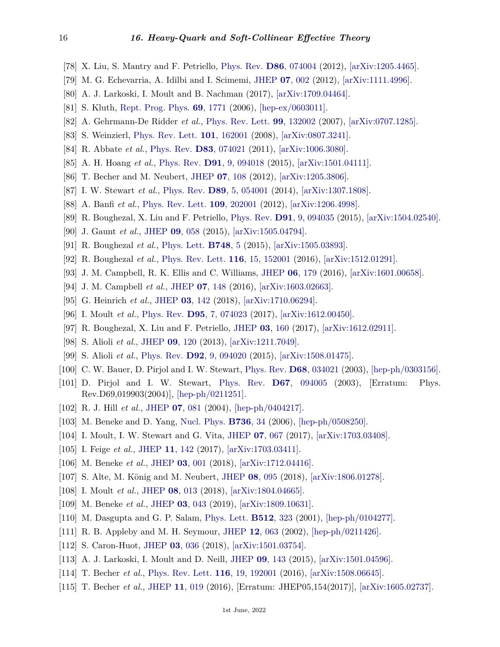- <span id="page-15-0"></span>[78] X. Liu, S. Mantry and F. Petriello, [Phys. Rev.](http://doi.org/10.1103/PhysRevD.86.074004) **D86**[, 074004](http://doi.org/10.1103/PhysRevD.86.074004) (2012), [\[arXiv:1205.4465\].](https://arxiv.org/abs/1205.4465)
- <span id="page-15-1"></span>[79] M. G. Echevarria, A. Idilbi and I. Scimemi, [JHEP](http://doi.org/10.1007/JHEP07(2012)002) **07**[, 002](http://doi.org/10.1007/JHEP07(2012)002) (2012), [\[arXiv:1111.4996\].](https://arxiv.org/abs/1111.4996)
- <span id="page-15-2"></span>[80] A. J. Larkoski, I. Moult and B. Nachman (2017), [\[arXiv:1709.04464\].](https://arxiv.org/abs/1709.04464)
- <span id="page-15-3"></span>[81] S. Kluth, [Rept. Prog. Phys.](http://doi.org/10.1088/0034-4885/69/6/R04) **69**[, 1771](http://doi.org/10.1088/0034-4885/69/6/R04) (2006), [\[hep-ex/0603011\].](https://arxiv.org/abs/hep-ex/0603011)
- <span id="page-15-4"></span>[82] A. Gehrmann-De Ridder *et al.*, [Phys. Rev. Lett.](http://doi.org/10.1103/PhysRevLett.99.132002) **99**[, 132002](http://doi.org/10.1103/PhysRevLett.99.132002) (2007), [\[arXiv:0707.1285\].](https://arxiv.org/abs/0707.1285)
- <span id="page-15-5"></span>[83] S. Weinzierl, [Phys. Rev. Lett.](http://doi.org/10.1103/PhysRevLett.101.162001) **101**[, 162001](http://doi.org/10.1103/PhysRevLett.101.162001) (2008), [\[arXiv:0807.3241\].](https://arxiv.org/abs/0807.3241)
- <span id="page-15-6"></span>[84] R. Abbate *et al.*, [Phys. Rev.](http://doi.org/10.1103/PhysRevD.83.074021) **D83**[, 074021](http://doi.org/10.1103/PhysRevD.83.074021) (2011), [\[arXiv:1006.3080\].](https://arxiv.org/abs/1006.3080)
- <span id="page-15-7"></span>[85] A. H. Hoang *et al.*, [Phys. Rev.](http://doi.org/10.1103/PhysRevD.91.094018) **D91**[, 9, 094018](http://doi.org/10.1103/PhysRevD.91.094018) (2015), [\[arXiv:1501.04111\].](https://arxiv.org/abs/1501.04111)
- <span id="page-15-8"></span>[86] T. Becher and M. Neubert, [JHEP](http://doi.org/10.1007/JHEP07(2012)108) **07**[, 108](http://doi.org/10.1007/JHEP07(2012)108) (2012), [\[arXiv:1205.3806\].](https://arxiv.org/abs/1205.3806)
- <span id="page-15-9"></span>[87] I. W. Stewart *et al.*, [Phys. Rev.](http://doi.org/10.1103/PhysRevD.89.054001) **D89**[, 5, 054001](http://doi.org/10.1103/PhysRevD.89.054001) (2014), [\[arXiv:1307.1808\].](https://arxiv.org/abs/1307.1808)
- <span id="page-15-10"></span>[88] A. Banfi *et al.*, [Phys. Rev. Lett.](http://doi.org/10.1103/PhysRevLett.109.202001) **109**[, 202001](http://doi.org/10.1103/PhysRevLett.109.202001) (2012), [\[arXiv:1206.4998\].](https://arxiv.org/abs/1206.4998)
- <span id="page-15-11"></span>[89] R. Boughezal, X. Liu and F. Petriello, [Phys. Rev.](http://doi.org/10.1103/PhysRevD.91.094035) **D91**[, 9, 094035](http://doi.org/10.1103/PhysRevD.91.094035) (2015), [\[arXiv:1504.02540\].](https://arxiv.org/abs/1504.02540)
- <span id="page-15-12"></span>[90] J. Gaunt *et al.*, [JHEP](http://doi.org/10.1007/JHEP09(2015)058) **09**[, 058](http://doi.org/10.1007/JHEP09(2015)058) (2015), [\[arXiv:1505.04794\].](https://arxiv.org/abs/1505.04794)
- <span id="page-15-13"></span>[91] R. Boughezal *et al.*, [Phys. Lett.](http://doi.org/10.1016/j.physletb.2015.06.055) **[B748](http://doi.org/10.1016/j.physletb.2015.06.055)**, 5 (2015), [\[arXiv:1505.03893\].](https://arxiv.org/abs/1505.03893)
- [92] R. Boughezal *et al.*, [Phys. Rev. Lett.](http://doi.org/10.1103/PhysRevLett.116.152001) **116**[, 15, 152001](http://doi.org/10.1103/PhysRevLett.116.152001) (2016), [\[arXiv:1512.01291\].](https://arxiv.org/abs/1512.01291)
- [93] J. M. Campbell, R. K. Ellis and C. Williams, [JHEP](http://doi.org/10.1007/JHEP06(2016)179) **06**[, 179](http://doi.org/10.1007/JHEP06(2016)179) (2016), [\[arXiv:1601.00658\].](https://arxiv.org/abs/1601.00658)
- [94] J. M. Campbell *et al.*, [JHEP](http://doi.org/10.1007/JHEP07(2016)148) **07**[, 148](http://doi.org/10.1007/JHEP07(2016)148) (2016), [\[arXiv:1603.02663\].](https://arxiv.org/abs/1603.02663)
- <span id="page-15-14"></span>[95] G. Heinrich *et al.*, [JHEP](http://doi.org/10.1007/JHEP03(2018)142) **03**[, 142](http://doi.org/10.1007/JHEP03(2018)142) (2018), [\[arXiv:1710.06294\].](https://arxiv.org/abs/1710.06294)
- <span id="page-15-15"></span>[96] I. Moult *et al.*, [Phys. Rev.](http://doi.org/10.1103/PhysRevD.95.074023) **D95**[, 7, 074023](http://doi.org/10.1103/PhysRevD.95.074023) (2017), [\[arXiv:1612.00450\].](https://arxiv.org/abs/1612.00450)
- <span id="page-15-16"></span>[97] R. Boughezal, X. Liu and F. Petriello, [JHEP](http://doi.org/10.1007/JHEP03(2017)160) **03**[, 160](http://doi.org/10.1007/JHEP03(2017)160) (2017), [\[arXiv:1612.02911\].](https://arxiv.org/abs/1612.02911)
- <span id="page-15-17"></span>[98] S. Alioli *et al.*, [JHEP](http://doi.org/10.1007/JHEP09(2013)120) **09**[, 120](http://doi.org/10.1007/JHEP09(2013)120) (2013), [\[arXiv:1211.7049\].](https://arxiv.org/abs/1211.7049)
- <span id="page-15-18"></span>[99] S. Alioli *et al.*, [Phys. Rev.](http://doi.org/10.1103/PhysRevD.92.094020) **D92**[, 9, 094020](http://doi.org/10.1103/PhysRevD.92.094020) (2015), [\[arXiv:1508.01475\].](https://arxiv.org/abs/1508.01475)
- <span id="page-15-19"></span>[100] C. W. Bauer, D. Pirjol and I. W. Stewart, [Phys. Rev.](http://doi.org/10.1103/PhysRevD.68.034021) **D68**[, 034021](http://doi.org/10.1103/PhysRevD.68.034021) (2003), [\[hep-ph/0303156\].](https://arxiv.org/abs/hep-ph/0303156)
- <span id="page-15-20"></span>[101] D. Pirjol and I. W. Stewart, [Phys. Rev.](http://doi.org/10.1103/PhysRevD.69.019903) **D67**[, 094005](http://doi.org/10.1103/PhysRevD.69.019903) (2003), [Erratum: Phys. Rev.D69,019903(2004)], [\[hep-ph/0211251\].](https://arxiv.org/abs/hep-ph/0211251)
- [102] R. J. Hill *et al.*, [JHEP](http://doi.org/10.1088/1126-6708/2004/07/081) **07**[, 081](http://doi.org/10.1088/1126-6708/2004/07/081) (2004), [\[hep-ph/0404217\].](https://arxiv.org/abs/hep-ph/0404217)
- <span id="page-15-21"></span>[103] M. Beneke and D. Yang, [Nucl. Phys.](http://doi.org/10.1016/j.nuclphysb.2005.11.027) **[B736](http://doi.org/10.1016/j.nuclphysb.2005.11.027)**, 34 (2006), [\[hep-ph/0508250\].](https://arxiv.org/abs/hep-ph/0508250)
- <span id="page-15-22"></span>[104] I. Moult, I. W. Stewart and G. Vita, [JHEP](http://doi.org/10.1007/JHEP07(2017)067) **07**[, 067](http://doi.org/10.1007/JHEP07(2017)067) (2017), [\[arXiv:1703.03408\].](https://arxiv.org/abs/1703.03408)
- [105] I. Feige *et al.*, [JHEP](http://doi.org/10.1007/JHEP11(2017)142) **11**[, 142](http://doi.org/10.1007/JHEP11(2017)142) (2017), [\[arXiv:1703.03411\].](https://arxiv.org/abs/1703.03411)
- <span id="page-15-23"></span>[106] M. Beneke *et al.*, [JHEP](http://doi.org/10.1007/JHEP03(2018)001) **03**[, 001](http://doi.org/10.1007/JHEP03(2018)001) (2018), [\[arXiv:1712.04416\].](https://arxiv.org/abs/1712.04416)
- <span id="page-15-24"></span>[107] S. Alte, M. König and M. Neubert, [JHEP](http://doi.org/10.1007/JHEP08(2018)095) **08**[, 095](http://doi.org/10.1007/JHEP08(2018)095) (2018), [\[arXiv:1806.01278\].](https://arxiv.org/abs/1806.01278)
- <span id="page-15-25"></span>[108] I. Moult *et al.*, [JHEP](http://doi.org/10.1007/JHEP08(2018)013) **08**[, 013](http://doi.org/10.1007/JHEP08(2018)013) (2018), [\[arXiv:1804.04665\].](https://arxiv.org/abs/1804.04665)
- <span id="page-15-26"></span>[109] M. Beneke *et al.*, [JHEP](http://doi.org/10.1007/JHEP03(2019)043) **03**[, 043](http://doi.org/10.1007/JHEP03(2019)043) (2019), [\[arXiv:1809.10631\].](https://arxiv.org/abs/1809.10631)
- <span id="page-15-27"></span>[110] M. Dasgupta and G. P. Salam, [Phys. Lett.](http://doi.org/10.1016/S0370-2693(01)00725-0) **[B512](http://doi.org/10.1016/S0370-2693(01)00725-0)**, 323 (2001), [\[hep-ph/0104277\].](https://arxiv.org/abs/hep-ph/0104277)
- <span id="page-15-28"></span>[111] R. B. Appleby and M. H. Seymour, [JHEP](http://doi.org/10.1088/1126-6708/2002/12/063) **12**[, 063](http://doi.org/10.1088/1126-6708/2002/12/063) (2002), [\[hep-ph/0211426\].](https://arxiv.org/abs/hep-ph/0211426)
- <span id="page-15-29"></span>[112] S. Caron-Huot, [JHEP](http://doi.org/10.1007/JHEP03(2018)036) **03**[, 036](http://doi.org/10.1007/JHEP03(2018)036) (2018), [\[arXiv:1501.03754\].](https://arxiv.org/abs/1501.03754)
- <span id="page-15-30"></span>[113] A. J. Larkoski, I. Moult and D. Neill, [JHEP](http://doi.org/10.1007/JHEP09(2015)143) **09**[, 143](http://doi.org/10.1007/JHEP09(2015)143) (2015), [\[arXiv:1501.04596\].](https://arxiv.org/abs/1501.04596)
- <span id="page-15-31"></span>[114] T. Becher *et al.*, [Phys. Rev. Lett.](http://doi.org/10.1103/PhysRevLett.116.192001) **116**[, 19, 192001](http://doi.org/10.1103/PhysRevLett.116.192001) (2016), [\[arXiv:1508.06645\].](https://arxiv.org/abs/1508.06645)
- <span id="page-15-32"></span>[115] T. Becher *et al.*, [JHEP](http://doi.org/10.1007/JHEP11(2016)019) **11**[, 019](http://doi.org/10.1007/JHEP11(2016)019) (2016), [Erratum: JHEP05,154(2017)], [\[arXiv:1605.02737\].](https://arxiv.org/abs/1605.02737)